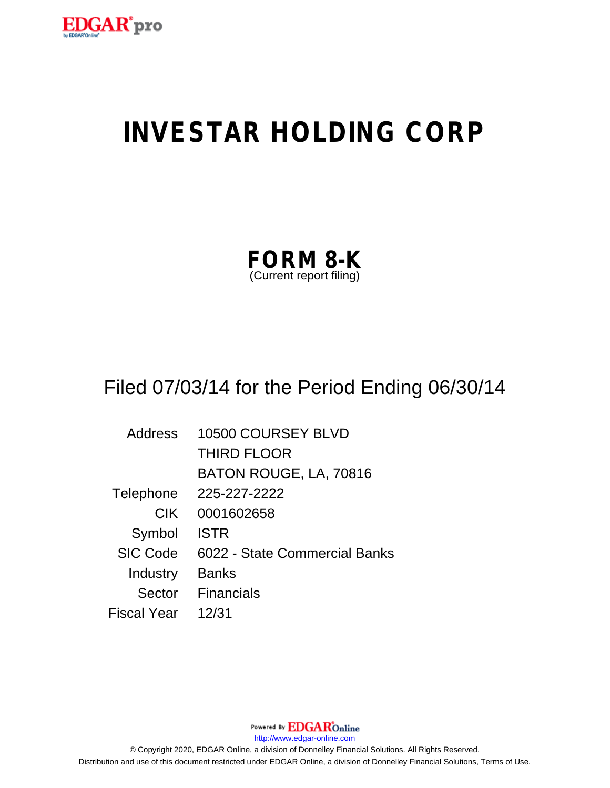

# **INVESTAR HOLDING CORP**

| <b>FORM 8-K</b>         |  |
|-------------------------|--|
| (Current report filing) |  |

# Filed 07/03/14 for the Period Ending 06/30/14

| <b>Address</b>  | 10500 COURSEY BLVD            |
|-----------------|-------------------------------|
|                 | <b>THIRD FLOOR</b>            |
|                 | BATON ROUGE, LA, 70816        |
| Telephone       | 225-227-2222                  |
| <b>CIK</b>      | 0001602658                    |
| Symbol          | <b>ISTR</b>                   |
| <b>SIC Code</b> | 6022 - State Commercial Banks |
| Industry        | <b>Banks</b>                  |
| Sector          | Financials                    |
| Fiscal Year     | 12/31                         |

Powered By **EDGAR**Online http://www.edgar-online.com © Copyright 2020, EDGAR Online, a division of Donnelley Financial Solutions. All Rights Reserved. Distribution and use of this document restricted under EDGAR Online, a division of Donnelley Financial Solutions, Terms of Use.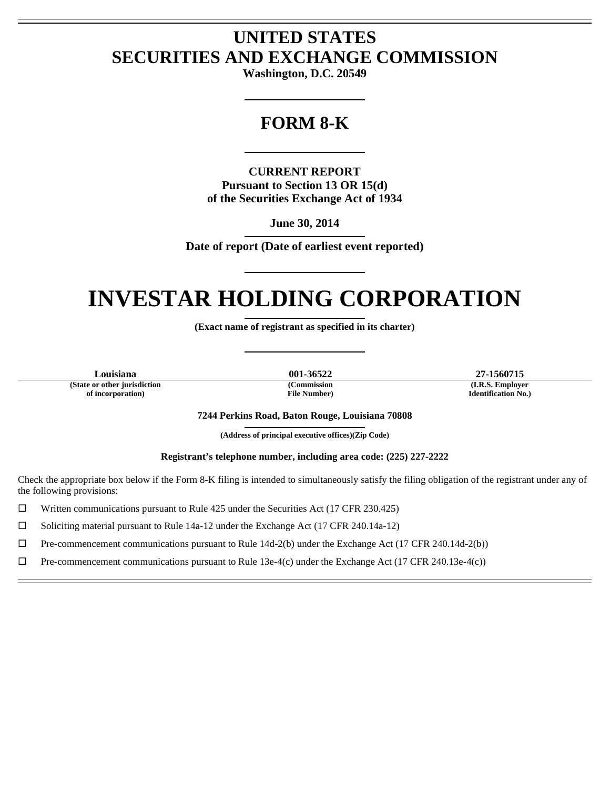## **UNITED STATES SECURITIES AND EXCHANGE COMMISSION**

**Washington, D.C. 20549** 

L

### **FORM 8-K**

L

**CURRENT REPORT Pursuant to Section 13 OR 15(d) of the Securities Exchange Act of 1934** 

> **June 30, 2014**  L

**Date of report (Date of earliest event reported)** 

L

### **INVESTAR HOLDING CORPORATION**  L

**(Exact name of registrant as specified in its charter)** 

L

**(State or other jurisdiction of incorporation)** 

 $\overline{a}$ Ē

 $\overline{a}$ Ē **(Commission File Number)** 

**Louisiana 001-36522 27-1560715 (I.R.S. Employer Identification No.)** 

**7244 Perkins Road, Baton Rouge, Louisiana 70808** 

**(Address of principal executive offices)(Zip Code)**  L

**Registrant's telephone number, including area code: (225) 227-2222** 

Check the appropriate box below if the Form 8-K filing is intended to simultaneously satisfy the filing obligation of the registrant under any of the following provisions:

 $\Box$  Written communications pursuant to Rule 425 under the Securities Act (17 CFR 230.425)

 $\Box$  Soliciting material pursuant to Rule 14a-12 under the Exchange Act (17 CFR 240.14a-12)

 $\Box$  Pre-commencement communications pursuant to Rule 14d-2(b) under the Exchange Act (17 CFR 240.14d-2(b))

 $\Box$  Pre-commencement communications pursuant to Rule 13e-4(c) under the Exchange Act (17 CFR 240.13e-4(c))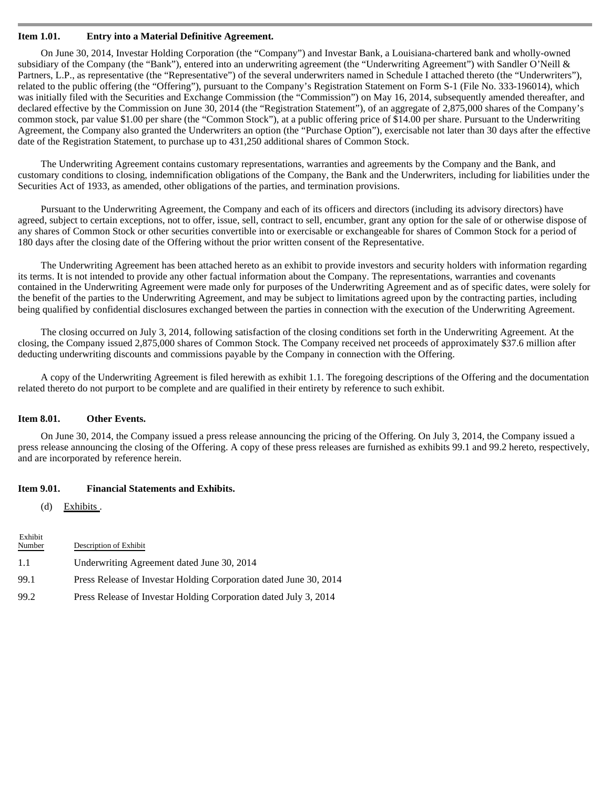#### **Item 1.01. Entry into a Material Definitive Agreement.**

On June 30, 2014, Investar Holding Corporation (the "Company") and Investar Bank, a Louisiana-chartered bank and wholly-owned subsidiary of the Company (the "Bank"), entered into an underwriting agreement (the "Underwriting Agreement") with Sandler O'Neill & Partners, L.P., as representative (the "Representative") of the several underwriters named in Schedule I attached thereto (the "Underwriters"), related to the public offering (the "Offering"), pursuant to the Company's Registration Statement on Form S-1 (File No. 333-196014), which was initially filed with the Securities and Exchange Commission (the "Commission") on May 16, 2014, subsequently amended thereafter, and declared effective by the Commission on June 30, 2014 (the "Registration Statement"), of an aggregate of 2,875,000 shares of the Company's common stock, par value \$1.00 per share (the "Common Stock"), at a public offering price of \$14.00 per share. Pursuant to the Underwriting Agreement, the Company also granted the Underwriters an option (the "Purchase Option"), exercisable not later than 30 days after the effective date of the Registration Statement, to purchase up to 431,250 additional shares of Common Stock.

The Underwriting Agreement contains customary representations, warranties and agreements by the Company and the Bank, and customary conditions to closing, indemnification obligations of the Company, the Bank and the Underwriters, including for liabilities under the Securities Act of 1933, as amended, other obligations of the parties, and termination provisions.

Pursuant to the Underwriting Agreement, the Company and each of its officers and directors (including its advisory directors) have agreed, subject to certain exceptions, not to offer, issue, sell, contract to sell, encumber, grant any option for the sale of or otherwise dispose of any shares of Common Stock or other securities convertible into or exercisable or exchangeable for shares of Common Stock for a period of 180 days after the closing date of the Offering without the prior written consent of the Representative.

The Underwriting Agreement has been attached hereto as an exhibit to provide investors and security holders with information regarding its terms. It is not intended to provide any other factual information about the Company. The representations, warranties and covenants contained in the Underwriting Agreement were made only for purposes of the Underwriting Agreement and as of specific dates, were solely for the benefit of the parties to the Underwriting Agreement, and may be subject to limitations agreed upon by the contracting parties, including being qualified by confidential disclosures exchanged between the parties in connection with the execution of the Underwriting Agreement.

The closing occurred on July 3, 2014, following satisfaction of the closing conditions set forth in the Underwriting Agreement. At the closing, the Company issued 2,875,000 shares of Common Stock. The Company received net proceeds of approximately \$37.6 million after deducting underwriting discounts and commissions payable by the Company in connection with the Offering.

A copy of the Underwriting Agreement is filed herewith as exhibit 1.1. The foregoing descriptions of the Offering and the documentation related thereto do not purport to be complete and are qualified in their entirety by reference to such exhibit.

#### **Item 8.01. Other Events.**

On June 30, 2014, the Company issued a press release announcing the pricing of the Offering. On July 3, 2014, the Company issued a press release announcing the closing of the Offering. A copy of these press releases are furnished as exhibits 99.1 and 99.2 hereto, respectively, and are incorporated by reference herein.

#### **Item 9.01. Financial Statements and Exhibits.**

(d) Exhibits .

| Exhibit<br>Number | Description of Exhibit                                            |
|-------------------|-------------------------------------------------------------------|
| 1.1               | Underwriting Agreement dated June 30, 2014                        |
| 99.1              | Press Release of Investar Holding Corporation dated June 30, 2014 |
| 99.2              | Press Release of Investar Holding Corporation dated July 3, 2014  |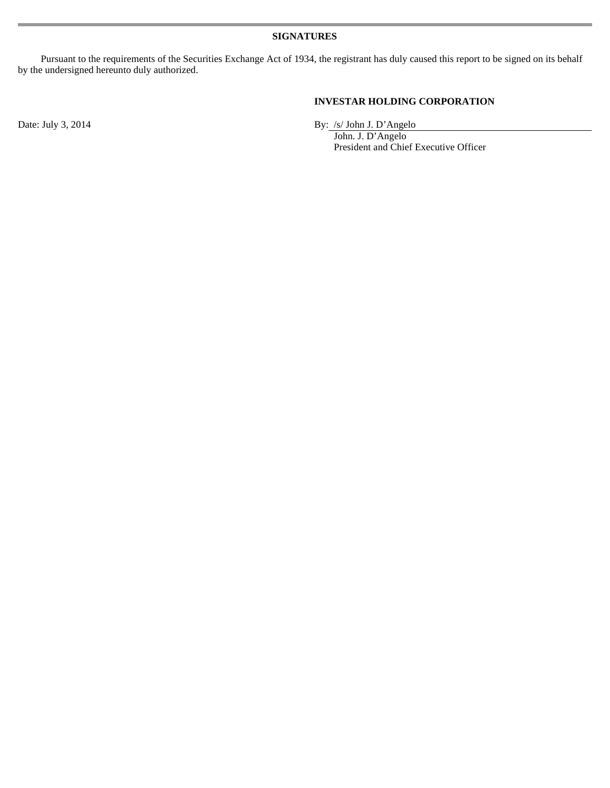Pursuant to the requirements of the Securities Exchange Act of 1934, the registrant has duly caused this report to be signed on its behalf by the undersigned hereunto duly authorized.

#### **INVESTAR HOLDING CORPORATION**

Date: July 3, 2014 By: /s/ John J. D'Angelo

 John. J. D'Angelo President and Chief Executive Officer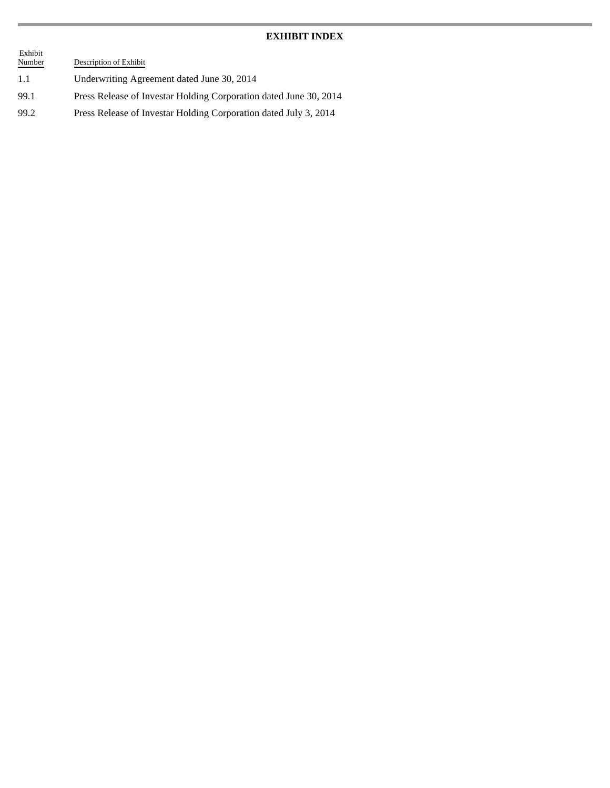#### **EXHIBIT INDEX**

| Exhibit<br>Number | Description of Exhibit                                            |
|-------------------|-------------------------------------------------------------------|
| -1.1              | Underwriting Agreement dated June 30, 2014                        |
| 99.1              | Press Release of Investar Holding Corporation dated June 30, 2014 |
| 99.2              | Press Release of Investar Holding Corporation dated July 3, 2014  |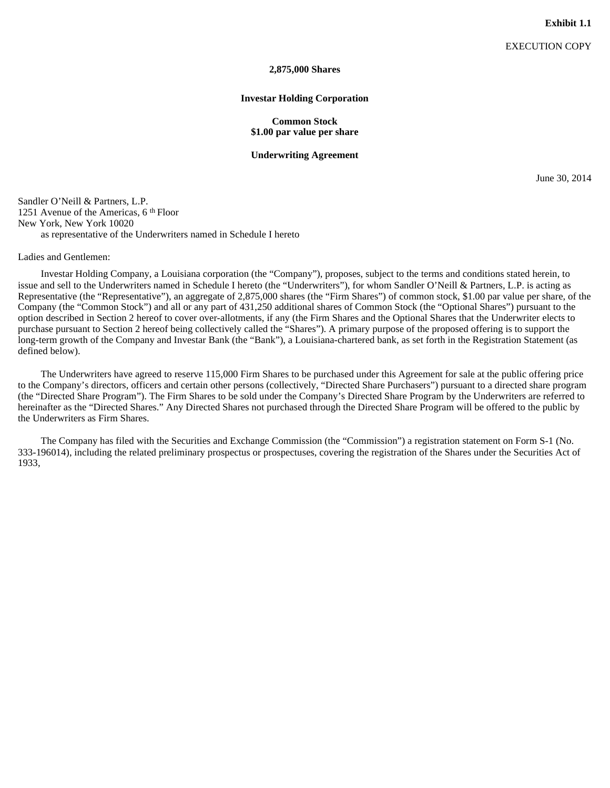#### **2,875,000 Shares**

#### **Investar Holding Corporation**

#### **Common Stock \$1.00 par value per share**

#### **Underwriting Agreement**

June 30, 2014

Sandler O'Neill & Partners, L.P. 1251 Avenue of the Americas, 6 th Floor New York, New York 10020 as representative of the Underwriters named in Schedule I hereto

#### Ladies and Gentlemen:

Investar Holding Company, a Louisiana corporation (the "Company"), proposes, subject to the terms and conditions stated herein, to issue and sell to the Underwriters named in Schedule I hereto (the "Underwriters"), for whom Sandler O'Neill & Partners, L.P. is acting as Representative (the "Representative"), an aggregate of 2,875,000 shares (the "Firm Shares") of common stock, \$1.00 par value per share, of the Company (the "Common Stock") and all or any part of 431,250 additional shares of Common Stock (the "Optional Shares") pursuant to the option described in Section 2 hereof to cover over-allotments, if any (the Firm Shares and the Optional Shares that the Underwriter elects to purchase pursuant to Section 2 hereof being collectively called the "Shares"). A primary purpose of the proposed offering is to support the long-term growth of the Company and Investar Bank (the "Bank"), a Louisiana-chartered bank, as set forth in the Registration Statement (as defined below).

The Underwriters have agreed to reserve 115,000 Firm Shares to be purchased under this Agreement for sale at the public offering price to the Company's directors, officers and certain other persons (collectively, "Directed Share Purchasers") pursuant to a directed share program (the "Directed Share Program"). The Firm Shares to be sold under the Company's Directed Share Program by the Underwriters are referred to hereinafter as the "Directed Shares." Any Directed Shares not purchased through the Directed Share Program will be offered to the public by the Underwriters as Firm Shares.

The Company has filed with the Securities and Exchange Commission (the "Commission") a registration statement on Form S-1 (No. 333-196014), including the related preliminary prospectus or prospectuses, covering the registration of the Shares under the Securities Act of 1933,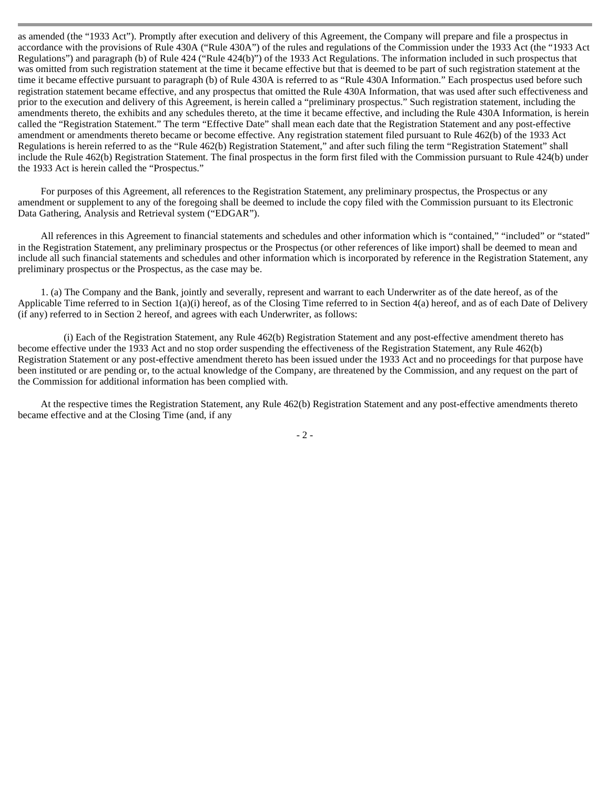as amended (the "1933 Act"). Promptly after execution and delivery of this Agreement, the Company will prepare and file a prospectus in accordance with the provisions of Rule 430A ("Rule 430A") of the rules and regulations of the Commission under the 1933 Act (the "1933 Act Regulations") and paragraph (b) of Rule 424 ("Rule 424(b)") of the 1933 Act Regulations. The information included in such prospectus that was omitted from such registration statement at the time it became effective but that is deemed to be part of such registration statement at the time it became effective pursuant to paragraph (b) of Rule 430A is referred to as "Rule 430A Information." Each prospectus used before such registration statement became effective, and any prospectus that omitted the Rule 430A Information, that was used after such effectiveness and prior to the execution and delivery of this Agreement, is herein called a "preliminary prospectus." Such registration statement, including the amendments thereto, the exhibits and any schedules thereto, at the time it became effective, and including the Rule 430A Information, is herein called the "Registration Statement." The term "Effective Date" shall mean each date that the Registration Statement and any post-effective amendment or amendments thereto became or become effective. Any registration statement filed pursuant to Rule 462(b) of the 1933 Act Regulations is herein referred to as the "Rule 462(b) Registration Statement," and after such filing the term "Registration Statement" shall include the Rule 462(b) Registration Statement. The final prospectus in the form first filed with the Commission pursuant to Rule 424(b) under the 1933 Act is herein called the "Prospectus."

For purposes of this Agreement, all references to the Registration Statement, any preliminary prospectus, the Prospectus or any amendment or supplement to any of the foregoing shall be deemed to include the copy filed with the Commission pursuant to its Electronic Data Gathering, Analysis and Retrieval system ("EDGAR").

All references in this Agreement to financial statements and schedules and other information which is "contained," "included" or "stated" in the Registration Statement, any preliminary prospectus or the Prospectus (or other references of like import) shall be deemed to mean and include all such financial statements and schedules and other information which is incorporated by reference in the Registration Statement, any preliminary prospectus or the Prospectus, as the case may be.

1. (a) The Company and the Bank, jointly and severally, represent and warrant to each Underwriter as of the date hereof, as of the Applicable Time referred to in Section 1(a)(i) hereof, as of the Closing Time referred to in Section 4(a) hereof, and as of each Date of Delivery (if any) referred to in Section 2 hereof, and agrees with each Underwriter, as follows:

(i) Each of the Registration Statement, any Rule 462(b) Registration Statement and any post-effective amendment thereto has become effective under the 1933 Act and no stop order suspending the effectiveness of the Registration Statement, any Rule 462(b) Registration Statement or any post-effective amendment thereto has been issued under the 1933 Act and no proceedings for that purpose have been instituted or are pending or, to the actual knowledge of the Company, are threatened by the Commission, and any request on the part of the Commission for additional information has been complied with.

At the respective times the Registration Statement, any Rule 462(b) Registration Statement and any post-effective amendments thereto became effective and at the Closing Time (and, if any

- 2 -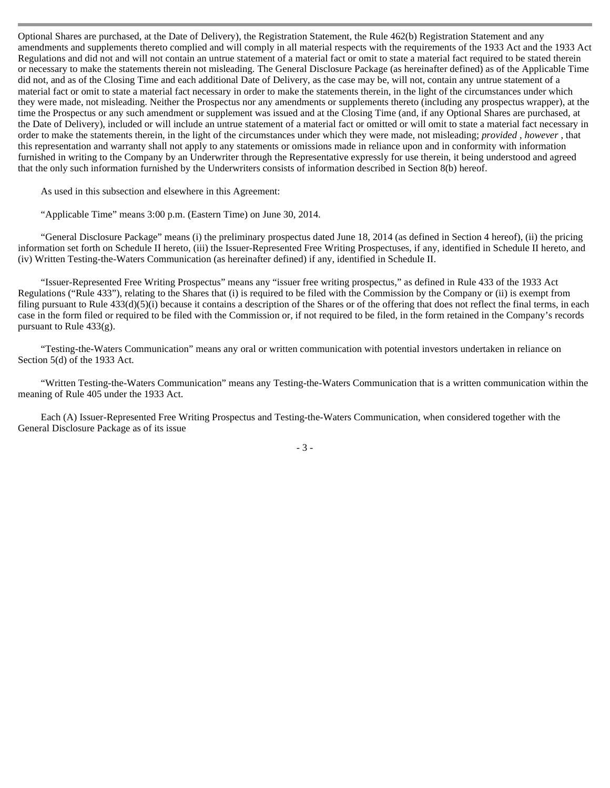Optional Shares are purchased, at the Date of Delivery), the Registration Statement, the Rule 462(b) Registration Statement and any amendments and supplements thereto complied and will comply in all material respects with the requirements of the 1933 Act and the 1933 Act Regulations and did not and will not contain an untrue statement of a material fact or omit to state a material fact required to be stated therein or necessary to make the statements therein not misleading. The General Disclosure Package (as hereinafter defined) as of the Applicable Time did not, and as of the Closing Time and each additional Date of Delivery, as the case may be, will not, contain any untrue statement of a material fact or omit to state a material fact necessary in order to make the statements therein, in the light of the circumstances under which they were made, not misleading. Neither the Prospectus nor any amendments or supplements thereto (including any prospectus wrapper), at the time the Prospectus or any such amendment or supplement was issued and at the Closing Time (and, if any Optional Shares are purchased, at the Date of Delivery), included or will include an untrue statement of a material fact or omitted or will omit to state a material fact necessary in order to make the statements therein, in the light of the circumstances under which they were made, not misleading; *provided* , *however* , that this representation and warranty shall not apply to any statements or omissions made in reliance upon and in conformity with information furnished in writing to the Company by an Underwriter through the Representative expressly for use therein, it being understood and agreed that the only such information furnished by the Underwriters consists of information described in Section 8(b) hereof.

As used in this subsection and elsewhere in this Agreement:

"Applicable Time" means 3:00 p.m. (Eastern Time) on June 30, 2014.

"General Disclosure Package" means (i) the preliminary prospectus dated June 18, 2014 (as defined in Section 4 hereof), (ii) the pricing information set forth on Schedule II hereto, (iii) the Issuer-Represented Free Writing Prospectuses, if any, identified in Schedule II hereto, and (iv) Written Testing-the-Waters Communication (as hereinafter defined) if any, identified in Schedule II.

"Issuer-Represented Free Writing Prospectus" means any "issuer free writing prospectus," as defined in Rule 433 of the 1933 Act Regulations ("Rule 433"), relating to the Shares that (i) is required to be filed with the Commission by the Company or (ii) is exempt from filing pursuant to Rule 433(d)(5)(i) because it contains a description of the Shares or of the offering that does not reflect the final terms, in each case in the form filed or required to be filed with the Commission or, if not required to be filed, in the form retained in the Company's records pursuant to Rule 433(g).

"Testing-the-Waters Communication" means any oral or written communication with potential investors undertaken in reliance on Section 5(d) of the 1933 Act.

"Written Testing-the-Waters Communication" means any Testing-the-Waters Communication that is a written communication within the meaning of Rule 405 under the 1933 Act.

Each (A) Issuer-Represented Free Writing Prospectus and Testing-the-Waters Communication, when considered together with the General Disclosure Package as of its issue

- 3 -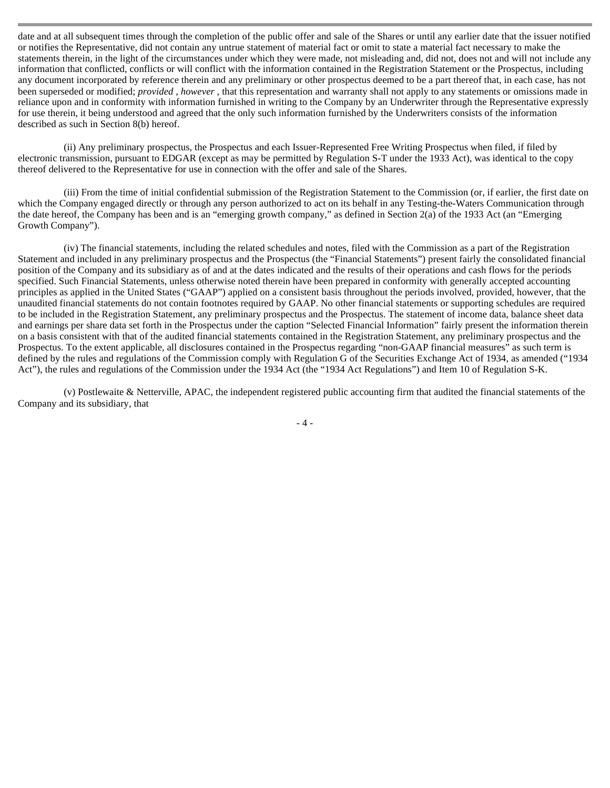date and at all subsequent times through the completion of the public offer and sale of the Shares or until any earlier date that the issuer notified or notifies the Representative, did not contain any untrue statement of material fact or omit to state a material fact necessary to make the statements therein, in the light of the circumstances under which they were made, not misleading and, did not, does not and will not include any information that conflicted, conflicts or will conflict with the information contained in the Registration Statement or the Prospectus, including any document incorporated by reference therein and any preliminary or other prospectus deemed to be a part thereof that, in each case, has not been superseded or modified; *provided* , *however* , that this representation and warranty shall not apply to any statements or omissions made in reliance upon and in conformity with information furnished in writing to the Company by an Underwriter through the Representative expressly for use therein, it being understood and agreed that the only such information furnished by the Underwriters consists of the information described as such in Section 8(b) hereof.

(ii) Any preliminary prospectus, the Prospectus and each Issuer-Represented Free Writing Prospectus when filed, if filed by electronic transmission, pursuant to EDGAR (except as may be permitted by Regulation S-T under the 1933 Act), was identical to the copy thereof delivered to the Representative for use in connection with the offer and sale of the Shares.

(iii) From the time of initial confidential submission of the Registration Statement to the Commission (or, if earlier, the first date on which the Company engaged directly or through any person authorized to act on its behalf in any Testing-the-Waters Communication through the date hereof, the Company has been and is an "emerging growth company," as defined in Section 2(a) of the 1933 Act (an "Emerging Growth Company").

(iv) The financial statements, including the related schedules and notes, filed with the Commission as a part of the Registration Statement and included in any preliminary prospectus and the Prospectus (the "Financial Statements") present fairly the consolidated financial position of the Company and its subsidiary as of and at the dates indicated and the results of their operations and cash flows for the periods specified. Such Financial Statements, unless otherwise noted therein have been prepared in conformity with generally accepted accounting principles as applied in the United States ("GAAP") applied on a consistent basis throughout the periods involved, provided, however, that the unaudited financial statements do not contain footnotes required by GAAP. No other financial statements or supporting schedules are required to be included in the Registration Statement, any preliminary prospectus and the Prospectus. The statement of income data, balance sheet data and earnings per share data set forth in the Prospectus under the caption "Selected Financial Information" fairly present the information therein on a basis consistent with that of the audited financial statements contained in the Registration Statement, any preliminary prospectus and the Prospectus. To the extent applicable, all disclosures contained in the Prospectus regarding "non-GAAP financial measures" as such term is defined by the rules and regulations of the Commission comply with Regulation G of the Securities Exchange Act of 1934, as amended ("1934 Act"), the rules and regulations of the Commission under the 1934 Act (the "1934 Act Regulations") and Item 10 of Regulation S-K.

(v) Postlewaite & Netterville, APAC, the independent registered public accounting firm that audited the financial statements of the Company and its subsidiary, that

- 4 -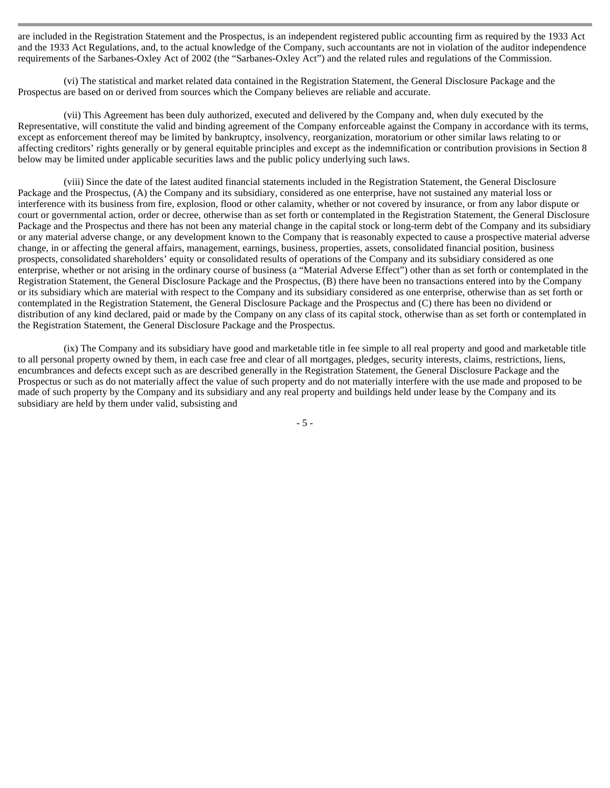are included in the Registration Statement and the Prospectus, is an independent registered public accounting firm as required by the 1933 Act and the 1933 Act Regulations, and, to the actual knowledge of the Company, such accountants are not in violation of the auditor independence requirements of the Sarbanes-Oxley Act of 2002 (the "Sarbanes-Oxley Act") and the related rules and regulations of the Commission.

(vi) The statistical and market related data contained in the Registration Statement, the General Disclosure Package and the Prospectus are based on or derived from sources which the Company believes are reliable and accurate.

(vii) This Agreement has been duly authorized, executed and delivered by the Company and, when duly executed by the Representative, will constitute the valid and binding agreement of the Company enforceable against the Company in accordance with its terms, except as enforcement thereof may be limited by bankruptcy, insolvency, reorganization, moratorium or other similar laws relating to or affecting creditors' rights generally or by general equitable principles and except as the indemnification or contribution provisions in Section 8 below may be limited under applicable securities laws and the public policy underlying such laws.

(viii) Since the date of the latest audited financial statements included in the Registration Statement, the General Disclosure Package and the Prospectus, (A) the Company and its subsidiary, considered as one enterprise, have not sustained any material loss or interference with its business from fire, explosion, flood or other calamity, whether or not covered by insurance, or from any labor dispute or court or governmental action, order or decree, otherwise than as set forth or contemplated in the Registration Statement, the General Disclosure Package and the Prospectus and there has not been any material change in the capital stock or long-term debt of the Company and its subsidiary or any material adverse change, or any development known to the Company that is reasonably expected to cause a prospective material adverse change, in or affecting the general affairs, management, earnings, business, properties, assets, consolidated financial position, business prospects, consolidated shareholders' equity or consolidated results of operations of the Company and its subsidiary considered as one enterprise, whether or not arising in the ordinary course of business (a "Material Adverse Effect") other than as set forth or contemplated in the Registration Statement, the General Disclosure Package and the Prospectus, (B) there have been no transactions entered into by the Company or its subsidiary which are material with respect to the Company and its subsidiary considered as one enterprise, otherwise than as set forth or contemplated in the Registration Statement, the General Disclosure Package and the Prospectus and (C) there has been no dividend or distribution of any kind declared, paid or made by the Company on any class of its capital stock, otherwise than as set forth or contemplated in the Registration Statement, the General Disclosure Package and the Prospectus.

(ix) The Company and its subsidiary have good and marketable title in fee simple to all real property and good and marketable title to all personal property owned by them, in each case free and clear of all mortgages, pledges, security interests, claims, restrictions, liens, encumbrances and defects except such as are described generally in the Registration Statement, the General Disclosure Package and the Prospectus or such as do not materially affect the value of such property and do not materially interfere with the use made and proposed to be made of such property by the Company and its subsidiary and any real property and buildings held under lease by the Company and its subsidiary are held by them under valid, subsisting and

- 5 -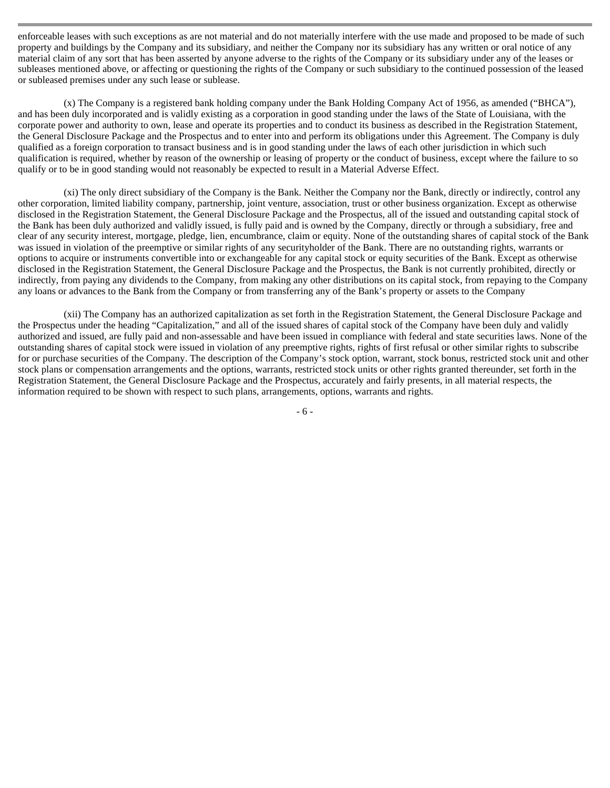enforceable leases with such exceptions as are not material and do not materially interfere with the use made and proposed to be made of such property and buildings by the Company and its subsidiary, and neither the Company nor its subsidiary has any written or oral notice of any material claim of any sort that has been asserted by anyone adverse to the rights of the Company or its subsidiary under any of the leases or subleases mentioned above, or affecting or questioning the rights of the Company or such subsidiary to the continued possession of the leased or subleased premises under any such lease or sublease.

(x) The Company is a registered bank holding company under the Bank Holding Company Act of 1956, as amended ("BHCA"), and has been duly incorporated and is validly existing as a corporation in good standing under the laws of the State of Louisiana, with the corporate power and authority to own, lease and operate its properties and to conduct its business as described in the Registration Statement, the General Disclosure Package and the Prospectus and to enter into and perform its obligations under this Agreement. The Company is duly qualified as a foreign corporation to transact business and is in good standing under the laws of each other jurisdiction in which such qualification is required, whether by reason of the ownership or leasing of property or the conduct of business, except where the failure to so qualify or to be in good standing would not reasonably be expected to result in a Material Adverse Effect.

(xi) The only direct subsidiary of the Company is the Bank. Neither the Company nor the Bank, directly or indirectly, control any other corporation, limited liability company, partnership, joint venture, association, trust or other business organization. Except as otherwise disclosed in the Registration Statement, the General Disclosure Package and the Prospectus, all of the issued and outstanding capital stock of the Bank has been duly authorized and validly issued, is fully paid and is owned by the Company, directly or through a subsidiary, free and clear of any security interest, mortgage, pledge, lien, encumbrance, claim or equity. None of the outstanding shares of capital stock of the Bank was issued in violation of the preemptive or similar rights of any securityholder of the Bank. There are no outstanding rights, warrants or options to acquire or instruments convertible into or exchangeable for any capital stock or equity securities of the Bank. Except as otherwise disclosed in the Registration Statement, the General Disclosure Package and the Prospectus, the Bank is not currently prohibited, directly or indirectly, from paying any dividends to the Company, from making any other distributions on its capital stock, from repaying to the Company any loans or advances to the Bank from the Company or from transferring any of the Bank's property or assets to the Company

(xii) The Company has an authorized capitalization as set forth in the Registration Statement, the General Disclosure Package and the Prospectus under the heading "Capitalization," and all of the issued shares of capital stock of the Company have been duly and validly authorized and issued, are fully paid and non-assessable and have been issued in compliance with federal and state securities laws. None of the outstanding shares of capital stock were issued in violation of any preemptive rights, rights of first refusal or other similar rights to subscribe for or purchase securities of the Company. The description of the Company's stock option, warrant, stock bonus, restricted stock unit and other stock plans or compensation arrangements and the options, warrants, restricted stock units or other rights granted thereunder, set forth in the Registration Statement, the General Disclosure Package and the Prospectus, accurately and fairly presents, in all material respects, the information required to be shown with respect to such plans, arrangements, options, warrants and rights.

- 6 -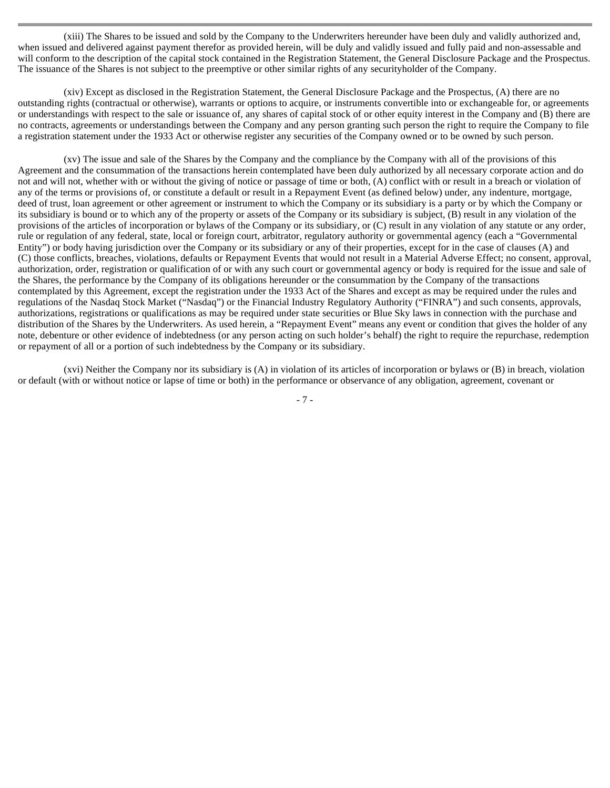(xiii) The Shares to be issued and sold by the Company to the Underwriters hereunder have been duly and validly authorized and, when issued and delivered against payment therefor as provided herein, will be duly and validly issued and fully paid and non-assessable and will conform to the description of the capital stock contained in the Registration Statement, the General Disclosure Package and the Prospectus. The issuance of the Shares is not subject to the preemptive or other similar rights of any securityholder of the Company.

(xiv) Except as disclosed in the Registration Statement, the General Disclosure Package and the Prospectus, (A) there are no outstanding rights (contractual or otherwise), warrants or options to acquire, or instruments convertible into or exchangeable for, or agreements or understandings with respect to the sale or issuance of, any shares of capital stock of or other equity interest in the Company and (B) there are no contracts, agreements or understandings between the Company and any person granting such person the right to require the Company to file a registration statement under the 1933 Act or otherwise register any securities of the Company owned or to be owned by such person.

(xv) The issue and sale of the Shares by the Company and the compliance by the Company with all of the provisions of this Agreement and the consummation of the transactions herein contemplated have been duly authorized by all necessary corporate action and do not and will not, whether with or without the giving of notice or passage of time or both, (A) conflict with or result in a breach or violation of any of the terms or provisions of, or constitute a default or result in a Repayment Event (as defined below) under, any indenture, mortgage, deed of trust, loan agreement or other agreement or instrument to which the Company or its subsidiary is a party or by which the Company or its subsidiary is bound or to which any of the property or assets of the Company or its subsidiary is subject, (B) result in any violation of the provisions of the articles of incorporation or bylaws of the Company or its subsidiary, or (C) result in any violation of any statute or any order, rule or regulation of any federal, state, local or foreign court, arbitrator, regulatory authority or governmental agency (each a "Governmental Entity") or body having jurisdiction over the Company or its subsidiary or any of their properties, except for in the case of clauses (A) and (C) those conflicts, breaches, violations, defaults or Repayment Events that would not result in a Material Adverse Effect; no consent, approval, authorization, order, registration or qualification of or with any such court or governmental agency or body is required for the issue and sale of the Shares, the performance by the Company of its obligations hereunder or the consummation by the Company of the transactions contemplated by this Agreement, except the registration under the 1933 Act of the Shares and except as may be required under the rules and regulations of the Nasdaq Stock Market ("Nasdaq") or the Financial Industry Regulatory Authority ("FINRA") and such consents, approvals, authorizations, registrations or qualifications as may be required under state securities or Blue Sky laws in connection with the purchase and distribution of the Shares by the Underwriters. As used herein, a "Repayment Event" means any event or condition that gives the holder of any note, debenture or other evidence of indebtedness (or any person acting on such holder's behalf) the right to require the repurchase, redemption or repayment of all or a portion of such indebtedness by the Company or its subsidiary.

(xvi) Neither the Company nor its subsidiary is (A) in violation of its articles of incorporation or bylaws or (B) in breach, violation or default (with or without notice or lapse of time or both) in the performance or observance of any obligation, agreement, covenant or

- 7 -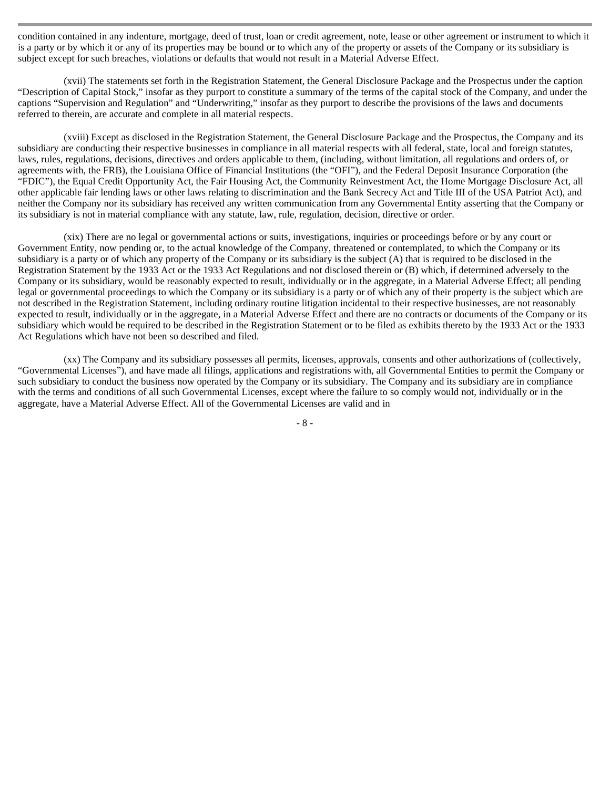condition contained in any indenture, mortgage, deed of trust, loan or credit agreement, note, lease or other agreement or instrument to which it is a party or by which it or any of its properties may be bound or to which any of the property or assets of the Company or its subsidiary is subject except for such breaches, violations or defaults that would not result in a Material Adverse Effect.

(xvii) The statements set forth in the Registration Statement, the General Disclosure Package and the Prospectus under the caption "Description of Capital Stock," insofar as they purport to constitute a summary of the terms of the capital stock of the Company, and under the captions "Supervision and Regulation" and "Underwriting," insofar as they purport to describe the provisions of the laws and documents referred to therein, are accurate and complete in all material respects.

(xviii) Except as disclosed in the Registration Statement, the General Disclosure Package and the Prospectus, the Company and its subsidiary are conducting their respective businesses in compliance in all material respects with all federal, state, local and foreign statutes, laws, rules, regulations, decisions, directives and orders applicable to them, (including, without limitation, all regulations and orders of, or agreements with, the FRB), the Louisiana Office of Financial Institutions (the "OFI"), and the Federal Deposit Insurance Corporation (the "FDIC"), the Equal Credit Opportunity Act, the Fair Housing Act, the Community Reinvestment Act, the Home Mortgage Disclosure Act, all other applicable fair lending laws or other laws relating to discrimination and the Bank Secrecy Act and Title III of the USA Patriot Act), and neither the Company nor its subsidiary has received any written communication from any Governmental Entity asserting that the Company or its subsidiary is not in material compliance with any statute, law, rule, regulation, decision, directive or order.

(xix) There are no legal or governmental actions or suits, investigations, inquiries or proceedings before or by any court or Government Entity, now pending or, to the actual knowledge of the Company, threatened or contemplated, to which the Company or its subsidiary is a party or of which any property of the Company or its subsidiary is the subject (A) that is required to be disclosed in the Registration Statement by the 1933 Act or the 1933 Act Regulations and not disclosed therein or (B) which, if determined adversely to the Company or its subsidiary, would be reasonably expected to result, individually or in the aggregate, in a Material Adverse Effect; all pending legal or governmental proceedings to which the Company or its subsidiary is a party or of which any of their property is the subject which are not described in the Registration Statement, including ordinary routine litigation incidental to their respective businesses, are not reasonably expected to result, individually or in the aggregate, in a Material Adverse Effect and there are no contracts or documents of the Company or its subsidiary which would be required to be described in the Registration Statement or to be filed as exhibits thereto by the 1933 Act or the 1933 Act Regulations which have not been so described and filed.

(xx) The Company and its subsidiary possesses all permits, licenses, approvals, consents and other authorizations of (collectively, "Governmental Licenses"), and have made all filings, applications and registrations with, all Governmental Entities to permit the Company or such subsidiary to conduct the business now operated by the Company or its subsidiary. The Company and its subsidiary are in compliance with the terms and conditions of all such Governmental Licenses, except where the failure to so comply would not, individually or in the aggregate, have a Material Adverse Effect. All of the Governmental Licenses are valid and in

- 8 -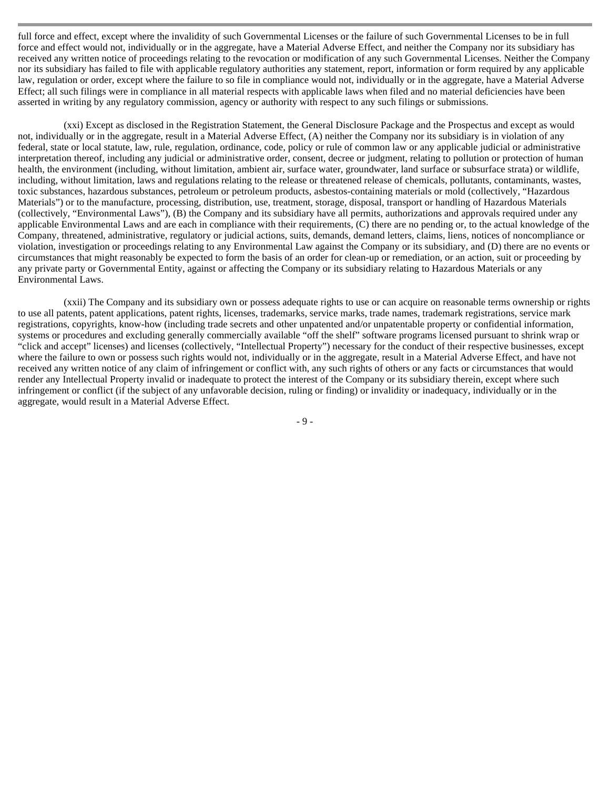full force and effect, except where the invalidity of such Governmental Licenses or the failure of such Governmental Licenses to be in full force and effect would not, individually or in the aggregate, have a Material Adverse Effect, and neither the Company nor its subsidiary has received any written notice of proceedings relating to the revocation or modification of any such Governmental Licenses. Neither the Company nor its subsidiary has failed to file with applicable regulatory authorities any statement, report, information or form required by any applicable law, regulation or order, except where the failure to so file in compliance would not, individually or in the aggregate, have a Material Adverse Effect; all such filings were in compliance in all material respects with applicable laws when filed and no material deficiencies have been asserted in writing by any regulatory commission, agency or authority with respect to any such filings or submissions.

(xxi) Except as disclosed in the Registration Statement, the General Disclosure Package and the Prospectus and except as would not, individually or in the aggregate, result in a Material Adverse Effect, (A) neither the Company nor its subsidiary is in violation of any federal, state or local statute, law, rule, regulation, ordinance, code, policy or rule of common law or any applicable judicial or administrative interpretation thereof, including any judicial or administrative order, consent, decree or judgment, relating to pollution or protection of human health, the environment (including, without limitation, ambient air, surface water, groundwater, land surface or subsurface strata) or wildlife, including, without limitation, laws and regulations relating to the release or threatened release of chemicals, pollutants, contaminants, wastes, toxic substances, hazardous substances, petroleum or petroleum products, asbestos-containing materials or mold (collectively, "Hazardous Materials") or to the manufacture, processing, distribution, use, treatment, storage, disposal, transport or handling of Hazardous Materials (collectively, "Environmental Laws"), (B) the Company and its subsidiary have all permits, authorizations and approvals required under any applicable Environmental Laws and are each in compliance with their requirements, (C) there are no pending or, to the actual knowledge of the Company, threatened, administrative, regulatory or judicial actions, suits, demands, demand letters, claims, liens, notices of noncompliance or violation, investigation or proceedings relating to any Environmental Law against the Company or its subsidiary, and (D) there are no events or circumstances that might reasonably be expected to form the basis of an order for clean-up or remediation, or an action, suit or proceeding by any private party or Governmental Entity, against or affecting the Company or its subsidiary relating to Hazardous Materials or any Environmental Laws.

(xxii) The Company and its subsidiary own or possess adequate rights to use or can acquire on reasonable terms ownership or rights to use all patents, patent applications, patent rights, licenses, trademarks, service marks, trade names, trademark registrations, service mark registrations, copyrights, know-how (including trade secrets and other unpatented and/or unpatentable property or confidential information, systems or procedures and excluding generally commercially available "off the shelf" software programs licensed pursuant to shrink wrap or "click and accept" licenses) and licenses (collectively, "Intellectual Property") necessary for the conduct of their respective businesses, except where the failure to own or possess such rights would not, individually or in the aggregate, result in a Material Adverse Effect, and have not received any written notice of any claim of infringement or conflict with, any such rights of others or any facts or circumstances that would render any Intellectual Property invalid or inadequate to protect the interest of the Company or its subsidiary therein, except where such infringement or conflict (if the subject of any unfavorable decision, ruling or finding) or invalidity or inadequacy, individually or in the aggregate, would result in a Material Adverse Effect.

- 9 -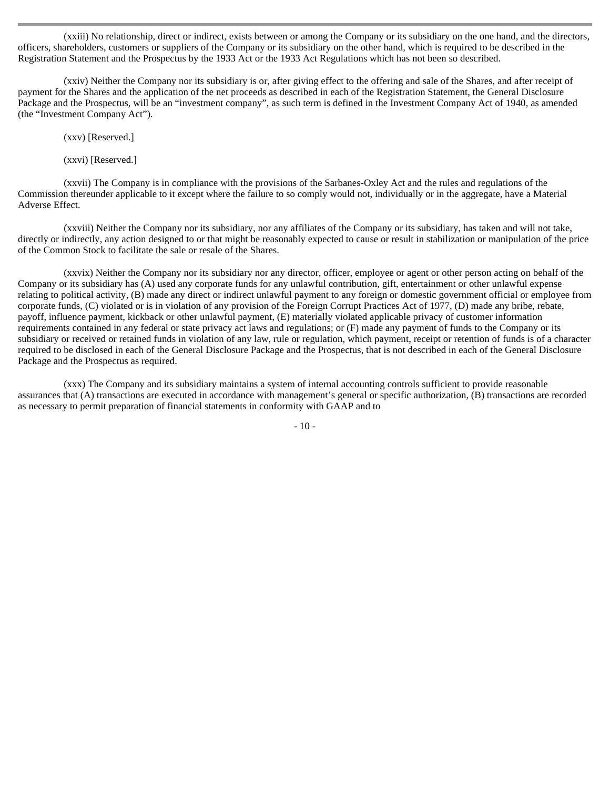(xxiii) No relationship, direct or indirect, exists between or among the Company or its subsidiary on the one hand, and the directors, officers, shareholders, customers or suppliers of the Company or its subsidiary on the other hand, which is required to be described in the Registration Statement and the Prospectus by the 1933 Act or the 1933 Act Regulations which has not been so described.

(xxiv) Neither the Company nor its subsidiary is or, after giving effect to the offering and sale of the Shares, and after receipt of payment for the Shares and the application of the net proceeds as described in each of the Registration Statement, the General Disclosure Package and the Prospectus, will be an "investment company", as such term is defined in the Investment Company Act of 1940, as amended (the "Investment Company Act").

(xxv) [Reserved.]

(xxvi) [Reserved.]

(xxvii) The Company is in compliance with the provisions of the Sarbanes-Oxley Act and the rules and regulations of the Commission thereunder applicable to it except where the failure to so comply would not, individually or in the aggregate, have a Material Adverse Effect.

(xxviii) Neither the Company nor its subsidiary, nor any affiliates of the Company or its subsidiary, has taken and will not take, directly or indirectly, any action designed to or that might be reasonably expected to cause or result in stabilization or manipulation of the price of the Common Stock to facilitate the sale or resale of the Shares.

(xxvix) Neither the Company nor its subsidiary nor any director, officer, employee or agent or other person acting on behalf of the Company or its subsidiary has (A) used any corporate funds for any unlawful contribution, gift, entertainment or other unlawful expense relating to political activity, (B) made any direct or indirect unlawful payment to any foreign or domestic government official or employee from corporate funds, (C) violated or is in violation of any provision of the Foreign Corrupt Practices Act of 1977, (D) made any bribe, rebate, payoff, influence payment, kickback or other unlawful payment, (E) materially violated applicable privacy of customer information requirements contained in any federal or state privacy act laws and regulations; or (F) made any payment of funds to the Company or its subsidiary or received or retained funds in violation of any law, rule or regulation, which payment, receipt or retention of funds is of a character required to be disclosed in each of the General Disclosure Package and the Prospectus, that is not described in each of the General Disclosure Package and the Prospectus as required.

(xxx) The Company and its subsidiary maintains a system of internal accounting controls sufficient to provide reasonable assurances that (A) transactions are executed in accordance with management's general or specific authorization, (B) transactions are recorded as necessary to permit preparation of financial statements in conformity with GAAP and to

 $-10-$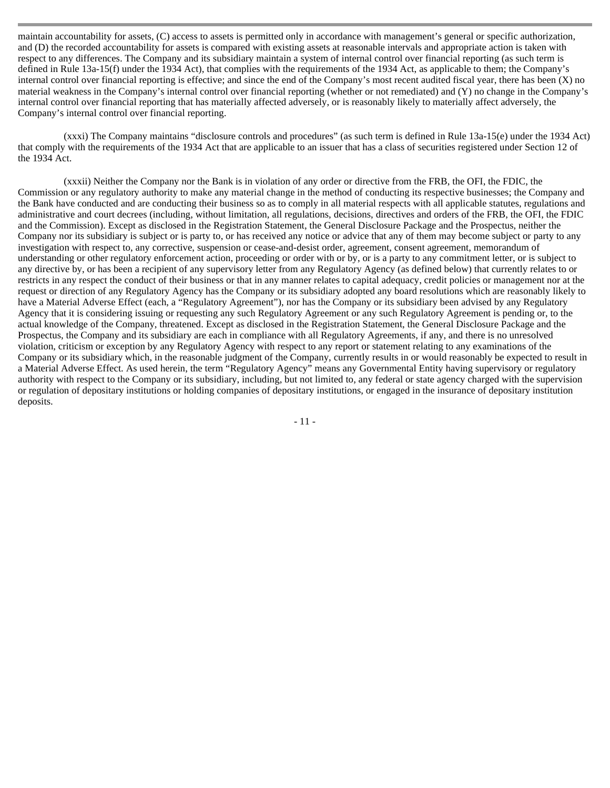maintain accountability for assets, (C) access to assets is permitted only in accordance with management's general or specific authorization, and (D) the recorded accountability for assets is compared with existing assets at reasonable intervals and appropriate action is taken with respect to any differences. The Company and its subsidiary maintain a system of internal control over financial reporting (as such term is defined in Rule 13a-15(f) under the 1934 Act), that complies with the requirements of the 1934 Act, as applicable to them; the Company's internal control over financial reporting is effective; and since the end of the Company's most recent audited fiscal year, there has been (X) no material weakness in the Company's internal control over financial reporting (whether or not remediated) and (Y) no change in the Company's internal control over financial reporting that has materially affected adversely, or is reasonably likely to materially affect adversely, the Company's internal control over financial reporting.

(xxxi) The Company maintains "disclosure controls and procedures" (as such term is defined in Rule 13a-15(e) under the 1934 Act) that comply with the requirements of the 1934 Act that are applicable to an issuer that has a class of securities registered under Section 12 of the 1934 Act.

(xxxii) Neither the Company nor the Bank is in violation of any order or directive from the FRB, the OFI, the FDIC, the Commission or any regulatory authority to make any material change in the method of conducting its respective businesses; the Company and the Bank have conducted and are conducting their business so as to comply in all material respects with all applicable statutes, regulations and administrative and court decrees (including, without limitation, all regulations, decisions, directives and orders of the FRB, the OFI, the FDIC and the Commission). Except as disclosed in the Registration Statement, the General Disclosure Package and the Prospectus, neither the Company nor its subsidiary is subject or is party to, or has received any notice or advice that any of them may become subject or party to any investigation with respect to, any corrective, suspension or cease-and-desist order, agreement, consent agreement, memorandum of understanding or other regulatory enforcement action, proceeding or order with or by, or is a party to any commitment letter, or is subject to any directive by, or has been a recipient of any supervisory letter from any Regulatory Agency (as defined below) that currently relates to or restricts in any respect the conduct of their business or that in any manner relates to capital adequacy, credit policies or management nor at the request or direction of any Regulatory Agency has the Company or its subsidiary adopted any board resolutions which are reasonably likely to have a Material Adverse Effect (each, a "Regulatory Agreement"), nor has the Company or its subsidiary been advised by any Regulatory Agency that it is considering issuing or requesting any such Regulatory Agreement or any such Regulatory Agreement is pending or, to the actual knowledge of the Company, threatened. Except as disclosed in the Registration Statement, the General Disclosure Package and the Prospectus, the Company and its subsidiary are each in compliance with all Regulatory Agreements, if any, and there is no unresolved violation, criticism or exception by any Regulatory Agency with respect to any report or statement relating to any examinations of the Company or its subsidiary which, in the reasonable judgment of the Company, currently results in or would reasonably be expected to result in a Material Adverse Effect. As used herein, the term "Regulatory Agency" means any Governmental Entity having supervisory or regulatory authority with respect to the Company or its subsidiary, including, but not limited to, any federal or state agency charged with the supervision or regulation of depositary institutions or holding companies of depositary institutions, or engaged in the insurance of depositary institution deposits.

- 11 -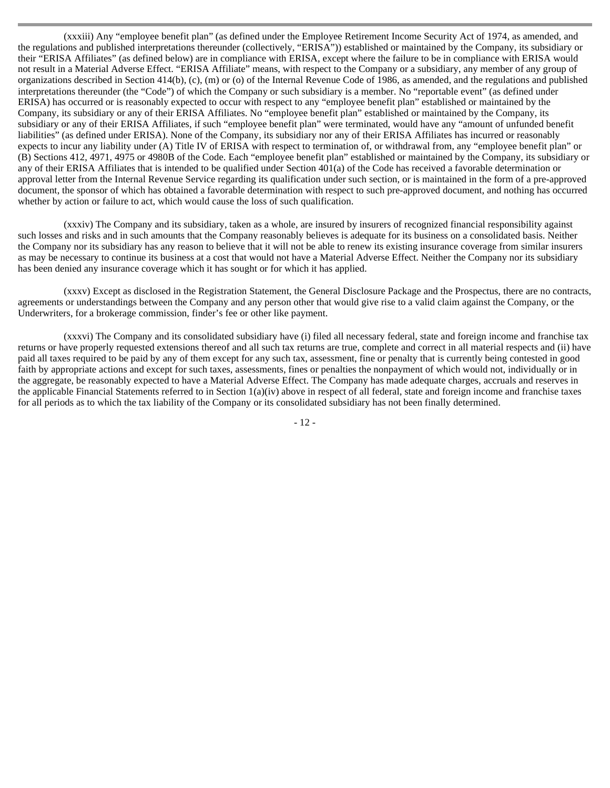(xxxiii) Any "employee benefit plan" (as defined under the Employee Retirement Income Security Act of 1974, as amended, and the regulations and published interpretations thereunder (collectively, "ERISA")) established or maintained by the Company, its subsidiary or their "ERISA Affiliates" (as defined below) are in compliance with ERISA, except where the failure to be in compliance with ERISA would not result in a Material Adverse Effect. "ERISA Affiliate" means, with respect to the Company or a subsidiary, any member of any group of organizations described in Section 414(b), (c), (m) or (o) of the Internal Revenue Code of 1986, as amended, and the regulations and published interpretations thereunder (the "Code") of which the Company or such subsidiary is a member. No "reportable event" (as defined under ERISA) has occurred or is reasonably expected to occur with respect to any "employee benefit plan" established or maintained by the Company, its subsidiary or any of their ERISA Affiliates. No "employee benefit plan" established or maintained by the Company, its subsidiary or any of their ERISA Affiliates, if such "employee benefit plan" were terminated, would have any "amount of unfunded benefit liabilities" (as defined under ERISA). None of the Company, its subsidiary nor any of their ERISA Affiliates has incurred or reasonably expects to incur any liability under (A) Title IV of ERISA with respect to termination of, or withdrawal from, any "employee benefit plan" or (B) Sections 412, 4971, 4975 or 4980B of the Code. Each "employee benefit plan" established or maintained by the Company, its subsidiary or any of their ERISA Affiliates that is intended to be qualified under Section 401(a) of the Code has received a favorable determination or approval letter from the Internal Revenue Service regarding its qualification under such section, or is maintained in the form of a pre-approved document, the sponsor of which has obtained a favorable determination with respect to such pre-approved document, and nothing has occurred whether by action or failure to act, which would cause the loss of such qualification.

(xxxiv) The Company and its subsidiary, taken as a whole, are insured by insurers of recognized financial responsibility against such losses and risks and in such amounts that the Company reasonably believes is adequate for its business on a consolidated basis. Neither the Company nor its subsidiary has any reason to believe that it will not be able to renew its existing insurance coverage from similar insurers as may be necessary to continue its business at a cost that would not have a Material Adverse Effect. Neither the Company nor its subsidiary has been denied any insurance coverage which it has sought or for which it has applied.

(xxxv) Except as disclosed in the Registration Statement, the General Disclosure Package and the Prospectus, there are no contracts, agreements or understandings between the Company and any person other that would give rise to a valid claim against the Company, or the Underwriters, for a brokerage commission, finder's fee or other like payment.

(xxxvi) The Company and its consolidated subsidiary have (i) filed all necessary federal, state and foreign income and franchise tax returns or have properly requested extensions thereof and all such tax returns are true, complete and correct in all material respects and (ii) have paid all taxes required to be paid by any of them except for any such tax, assessment, fine or penalty that is currently being contested in good faith by appropriate actions and except for such taxes, assessments, fines or penalties the nonpayment of which would not, individually or in the aggregate, be reasonably expected to have a Material Adverse Effect. The Company has made adequate charges, accruals and reserves in the applicable Financial Statements referred to in Section  $1(a)(iv)$  above in respect of all federal, state and foreign income and franchise taxes for all periods as to which the tax liability of the Company or its consolidated subsidiary has not been finally determined.

- 12 -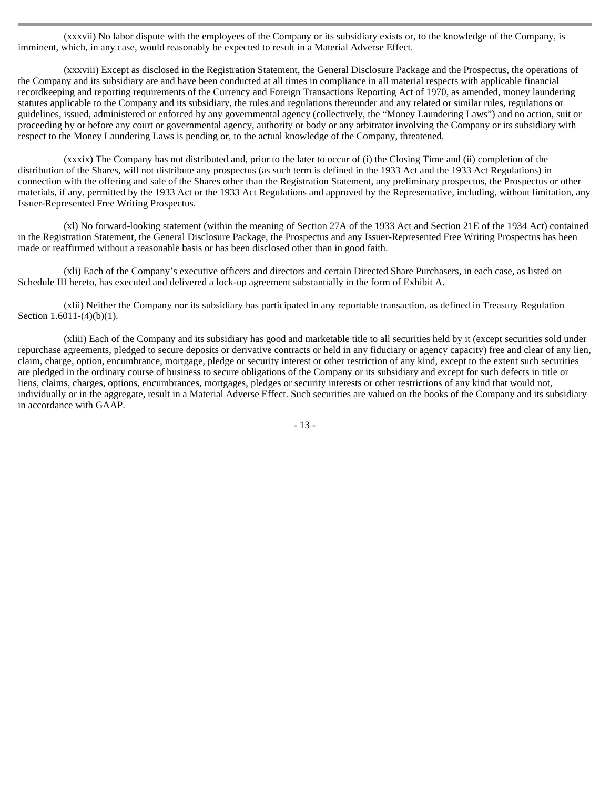(xxxvii) No labor dispute with the employees of the Company or its subsidiary exists or, to the knowledge of the Company, is imminent, which, in any case, would reasonably be expected to result in a Material Adverse Effect.

(xxxviii) Except as disclosed in the Registration Statement, the General Disclosure Package and the Prospectus, the operations of the Company and its subsidiary are and have been conducted at all times in compliance in all material respects with applicable financial recordkeeping and reporting requirements of the Currency and Foreign Transactions Reporting Act of 1970, as amended, money laundering statutes applicable to the Company and its subsidiary, the rules and regulations thereunder and any related or similar rules, regulations or guidelines, issued, administered or enforced by any governmental agency (collectively, the "Money Laundering Laws") and no action, suit or proceeding by or before any court or governmental agency, authority or body or any arbitrator involving the Company or its subsidiary with respect to the Money Laundering Laws is pending or, to the actual knowledge of the Company, threatened.

(xxxix) The Company has not distributed and, prior to the later to occur of (i) the Closing Time and (ii) completion of the distribution of the Shares, will not distribute any prospectus (as such term is defined in the 1933 Act and the 1933 Act Regulations) in connection with the offering and sale of the Shares other than the Registration Statement, any preliminary prospectus, the Prospectus or other materials, if any, permitted by the 1933 Act or the 1933 Act Regulations and approved by the Representative, including, without limitation, any Issuer-Represented Free Writing Prospectus.

(xl) No forward-looking statement (within the meaning of Section 27A of the 1933 Act and Section 21E of the 1934 Act) contained in the Registration Statement, the General Disclosure Package, the Prospectus and any Issuer-Represented Free Writing Prospectus has been made or reaffirmed without a reasonable basis or has been disclosed other than in good faith.

(xli) Each of the Company's executive officers and directors and certain Directed Share Purchasers, in each case, as listed on Schedule III hereto, has executed and delivered a lock-up agreement substantially in the form of Exhibit A.

(xlii) Neither the Company nor its subsidiary has participated in any reportable transaction, as defined in Treasury Regulation Section 1.6011-(4)(b)(1).

(xliii) Each of the Company and its subsidiary has good and marketable title to all securities held by it (except securities sold under repurchase agreements, pledged to secure deposits or derivative contracts or held in any fiduciary or agency capacity) free and clear of any lien, claim, charge, option, encumbrance, mortgage, pledge or security interest or other restriction of any kind, except to the extent such securities are pledged in the ordinary course of business to secure obligations of the Company or its subsidiary and except for such defects in title or liens, claims, charges, options, encumbrances, mortgages, pledges or security interests or other restrictions of any kind that would not, individually or in the aggregate, result in a Material Adverse Effect. Such securities are valued on the books of the Company and its subsidiary in accordance with GAAP.

- 13 -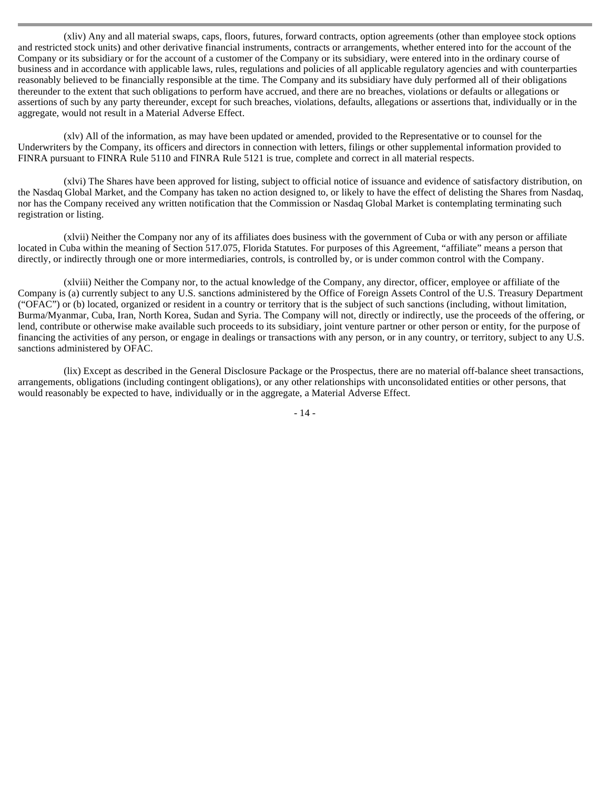(xliv) Any and all material swaps, caps, floors, futures, forward contracts, option agreements (other than employee stock options and restricted stock units) and other derivative financial instruments, contracts or arrangements, whether entered into for the account of the Company or its subsidiary or for the account of a customer of the Company or its subsidiary, were entered into in the ordinary course of business and in accordance with applicable laws, rules, regulations and policies of all applicable regulatory agencies and with counterparties reasonably believed to be financially responsible at the time. The Company and its subsidiary have duly performed all of their obligations thereunder to the extent that such obligations to perform have accrued, and there are no breaches, violations or defaults or allegations or assertions of such by any party thereunder, except for such breaches, violations, defaults, allegations or assertions that, individually or in the aggregate, would not result in a Material Adverse Effect.

(xlv) All of the information, as may have been updated or amended, provided to the Representative or to counsel for the Underwriters by the Company, its officers and directors in connection with letters, filings or other supplemental information provided to FINRA pursuant to FINRA Rule 5110 and FINRA Rule 5121 is true, complete and correct in all material respects.

(xlvi) The Shares have been approved for listing, subject to official notice of issuance and evidence of satisfactory distribution, on the Nasdaq Global Market, and the Company has taken no action designed to, or likely to have the effect of delisting the Shares from Nasdaq, nor has the Company received any written notification that the Commission or Nasdaq Global Market is contemplating terminating such registration or listing.

(xlvii) Neither the Company nor any of its affiliates does business with the government of Cuba or with any person or affiliate located in Cuba within the meaning of Section 517.075, Florida Statutes. For purposes of this Agreement, "affiliate" means a person that directly, or indirectly through one or more intermediaries, controls, is controlled by, or is under common control with the Company.

(xlviii) Neither the Company nor, to the actual knowledge of the Company, any director, officer, employee or affiliate of the Company is (a) currently subject to any U.S. sanctions administered by the Office of Foreign Assets Control of the U.S. Treasury Department ("OFAC") or (b) located, organized or resident in a country or territory that is the subject of such sanctions (including, without limitation, Burma/Myanmar, Cuba, Iran, North Korea, Sudan and Syria. The Company will not, directly or indirectly, use the proceeds of the offering, or lend, contribute or otherwise make available such proceeds to its subsidiary, joint venture partner or other person or entity, for the purpose of financing the activities of any person, or engage in dealings or transactions with any person, or in any country, or territory, subject to any U.S. sanctions administered by OFAC.

(lix) Except as described in the General Disclosure Package or the Prospectus, there are no material off-balance sheet transactions, arrangements, obligations (including contingent obligations), or any other relationships with unconsolidated entities or other persons, that would reasonably be expected to have, individually or in the aggregate, a Material Adverse Effect.

- 14 -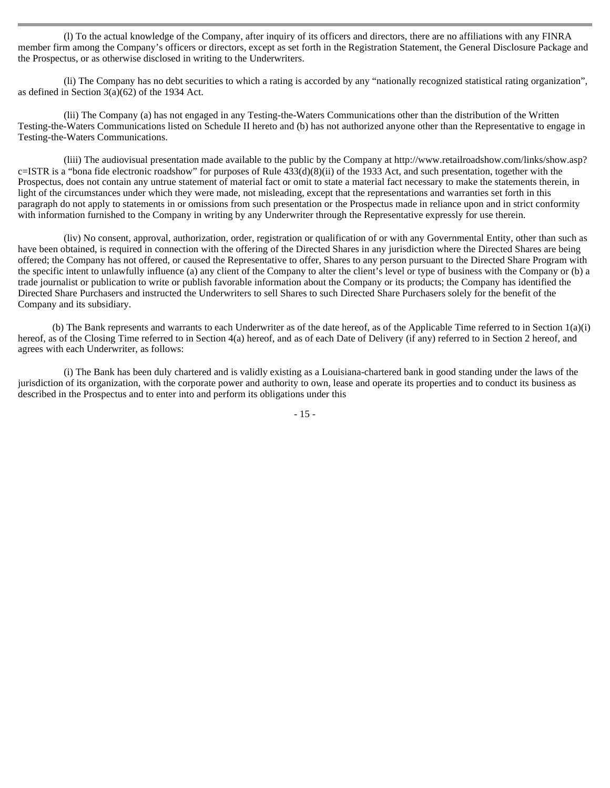(l) To the actual knowledge of the Company, after inquiry of its officers and directors, there are no affiliations with any FINRA member firm among the Company's officers or directors, except as set forth in the Registration Statement, the General Disclosure Package and the Prospectus, or as otherwise disclosed in writing to the Underwriters.

(li) The Company has no debt securities to which a rating is accorded by any "nationally recognized statistical rating organization", as defined in Section 3(a)(62) of the 1934 Act.

(lii) The Company (a) has not engaged in any Testing-the-Waters Communications other than the distribution of the Written Testing-the-Waters Communications listed on Schedule II hereto and (b) has not authorized anyone other than the Representative to engage in Testing-the-Waters Communications.

(liii) The audiovisual presentation made available to the public by the Company at http://www.retailroadshow.com/links/show.asp? c=ISTR is a "bona fide electronic roadshow" for purposes of Rule 433(d)(8)(ii) of the 1933 Act, and such presentation, together with the Prospectus, does not contain any untrue statement of material fact or omit to state a material fact necessary to make the statements therein, in light of the circumstances under which they were made, not misleading, except that the representations and warranties set forth in this paragraph do not apply to statements in or omissions from such presentation or the Prospectus made in reliance upon and in strict conformity with information furnished to the Company in writing by any Underwriter through the Representative expressly for use therein.

(liv) No consent, approval, authorization, order, registration or qualification of or with any Governmental Entity, other than such as have been obtained, is required in connection with the offering of the Directed Shares in any jurisdiction where the Directed Shares are being offered; the Company has not offered, or caused the Representative to offer, Shares to any person pursuant to the Directed Share Program with the specific intent to unlawfully influence (a) any client of the Company to alter the client's level or type of business with the Company or (b) a trade journalist or publication to write or publish favorable information about the Company or its products; the Company has identified the Directed Share Purchasers and instructed the Underwriters to sell Shares to such Directed Share Purchasers solely for the benefit of the Company and its subsidiary.

(b) The Bank represents and warrants to each Underwriter as of the date hereof, as of the Applicable Time referred to in Section 1(a)(i) hereof, as of the Closing Time referred to in Section 4(a) hereof, and as of each Date of Delivery (if any) referred to in Section 2 hereof, and agrees with each Underwriter, as follows:

(i) The Bank has been duly chartered and is validly existing as a Louisiana-chartered bank in good standing under the laws of the jurisdiction of its organization, with the corporate power and authority to own, lease and operate its properties and to conduct its business as described in the Prospectus and to enter into and perform its obligations under this

- 15 -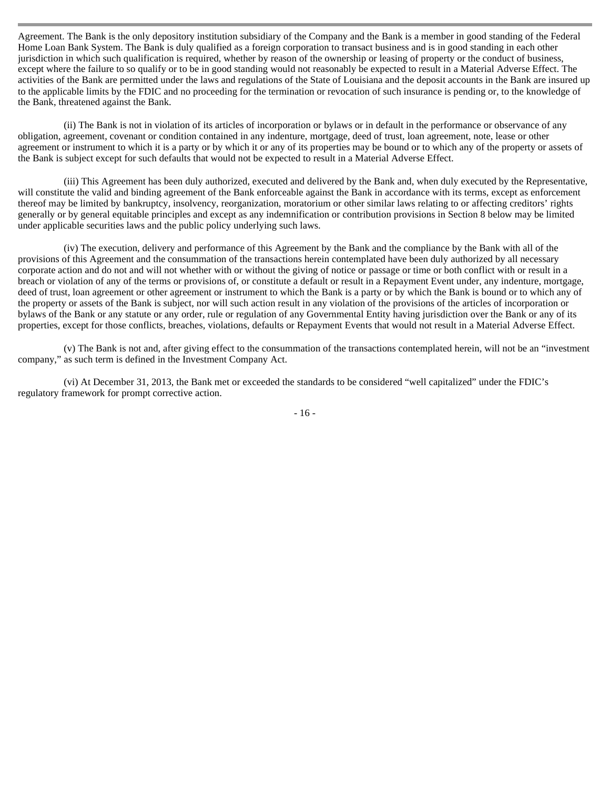Agreement. The Bank is the only depository institution subsidiary of the Company and the Bank is a member in good standing of the Federal Home Loan Bank System. The Bank is duly qualified as a foreign corporation to transact business and is in good standing in each other jurisdiction in which such qualification is required, whether by reason of the ownership or leasing of property or the conduct of business, except where the failure to so qualify or to be in good standing would not reasonably be expected to result in a Material Adverse Effect. The activities of the Bank are permitted under the laws and regulations of the State of Louisiana and the deposit accounts in the Bank are insured up to the applicable limits by the FDIC and no proceeding for the termination or revocation of such insurance is pending or, to the knowledge of the Bank, threatened against the Bank.

(ii) The Bank is not in violation of its articles of incorporation or bylaws or in default in the performance or observance of any obligation, agreement, covenant or condition contained in any indenture, mortgage, deed of trust, loan agreement, note, lease or other agreement or instrument to which it is a party or by which it or any of its properties may be bound or to which any of the property or assets of the Bank is subject except for such defaults that would not be expected to result in a Material Adverse Effect.

(iii) This Agreement has been duly authorized, executed and delivered by the Bank and, when duly executed by the Representative, will constitute the valid and binding agreement of the Bank enforceable against the Bank in accordance with its terms, except as enforcement thereof may be limited by bankruptcy, insolvency, reorganization, moratorium or other similar laws relating to or affecting creditors' rights generally or by general equitable principles and except as any indemnification or contribution provisions in Section 8 below may be limited under applicable securities laws and the public policy underlying such laws.

(iv) The execution, delivery and performance of this Agreement by the Bank and the compliance by the Bank with all of the provisions of this Agreement and the consummation of the transactions herein contemplated have been duly authorized by all necessary corporate action and do not and will not whether with or without the giving of notice or passage or time or both conflict with or result in a breach or violation of any of the terms or provisions of, or constitute a default or result in a Repayment Event under, any indenture, mortgage, deed of trust, loan agreement or other agreement or instrument to which the Bank is a party or by which the Bank is bound or to which any of the property or assets of the Bank is subject, nor will such action result in any violation of the provisions of the articles of incorporation or bylaws of the Bank or any statute or any order, rule or regulation of any Governmental Entity having jurisdiction over the Bank or any of its properties, except for those conflicts, breaches, violations, defaults or Repayment Events that would not result in a Material Adverse Effect.

(v) The Bank is not and, after giving effect to the consummation of the transactions contemplated herein, will not be an "investment company," as such term is defined in the Investment Company Act.

(vi) At December 31, 2013, the Bank met or exceeded the standards to be considered "well capitalized" under the FDIC's regulatory framework for prompt corrective action.

- 16 -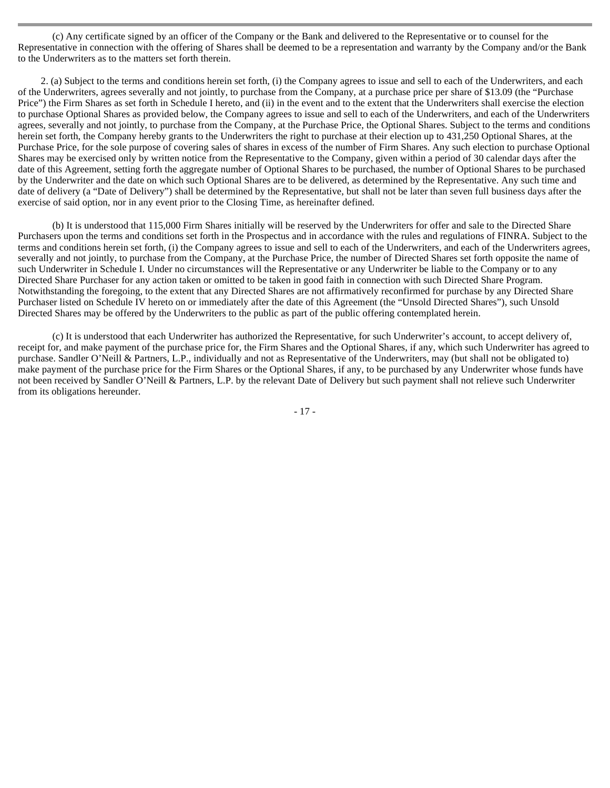(c) Any certificate signed by an officer of the Company or the Bank and delivered to the Representative or to counsel for the Representative in connection with the offering of Shares shall be deemed to be a representation and warranty by the Company and/or the Bank to the Underwriters as to the matters set forth therein.

2. (a) Subject to the terms and conditions herein set forth, (i) the Company agrees to issue and sell to each of the Underwriters, and each of the Underwriters, agrees severally and not jointly, to purchase from the Company, at a purchase price per share of \$13.09 (the "Purchase Price") the Firm Shares as set forth in Schedule I hereto, and (ii) in the event and to the extent that the Underwriters shall exercise the election to purchase Optional Shares as provided below, the Company agrees to issue and sell to each of the Underwriters, and each of the Underwriters agrees, severally and not jointly, to purchase from the Company, at the Purchase Price, the Optional Shares. Subject to the terms and conditions herein set forth, the Company hereby grants to the Underwriters the right to purchase at their election up to 431,250 Optional Shares, at the Purchase Price, for the sole purpose of covering sales of shares in excess of the number of Firm Shares. Any such election to purchase Optional Shares may be exercised only by written notice from the Representative to the Company, given within a period of 30 calendar days after the date of this Agreement, setting forth the aggregate number of Optional Shares to be purchased, the number of Optional Shares to be purchased by the Underwriter and the date on which such Optional Shares are to be delivered, as determined by the Representative. Any such time and date of delivery (a "Date of Delivery") shall be determined by the Representative, but shall not be later than seven full business days after the exercise of said option, nor in any event prior to the Closing Time, as hereinafter defined.

(b) It is understood that 115,000 Firm Shares initially will be reserved by the Underwriters for offer and sale to the Directed Share Purchasers upon the terms and conditions set forth in the Prospectus and in accordance with the rules and regulations of FINRA. Subject to the terms and conditions herein set forth, (i) the Company agrees to issue and sell to each of the Underwriters, and each of the Underwriters agrees, severally and not jointly, to purchase from the Company, at the Purchase Price, the number of Directed Shares set forth opposite the name of such Underwriter in Schedule I. Under no circumstances will the Representative or any Underwriter be liable to the Company or to any Directed Share Purchaser for any action taken or omitted to be taken in good faith in connection with such Directed Share Program. Notwithstanding the foregoing, to the extent that any Directed Shares are not affirmatively reconfirmed for purchase by any Directed Share Purchaser listed on Schedule IV hereto on or immediately after the date of this Agreement (the "Unsold Directed Shares"), such Unsold Directed Shares may be offered by the Underwriters to the public as part of the public offering contemplated herein.

(c) It is understood that each Underwriter has authorized the Representative, for such Underwriter's account, to accept delivery of, receipt for, and make payment of the purchase price for, the Firm Shares and the Optional Shares, if any, which such Underwriter has agreed to purchase. Sandler O'Neill & Partners, L.P., individually and not as Representative of the Underwriters, may (but shall not be obligated to) make payment of the purchase price for the Firm Shares or the Optional Shares, if any, to be purchased by any Underwriter whose funds have not been received by Sandler O'Neill & Partners, L.P. by the relevant Date of Delivery but such payment shall not relieve such Underwriter from its obligations hereunder.

- 17 -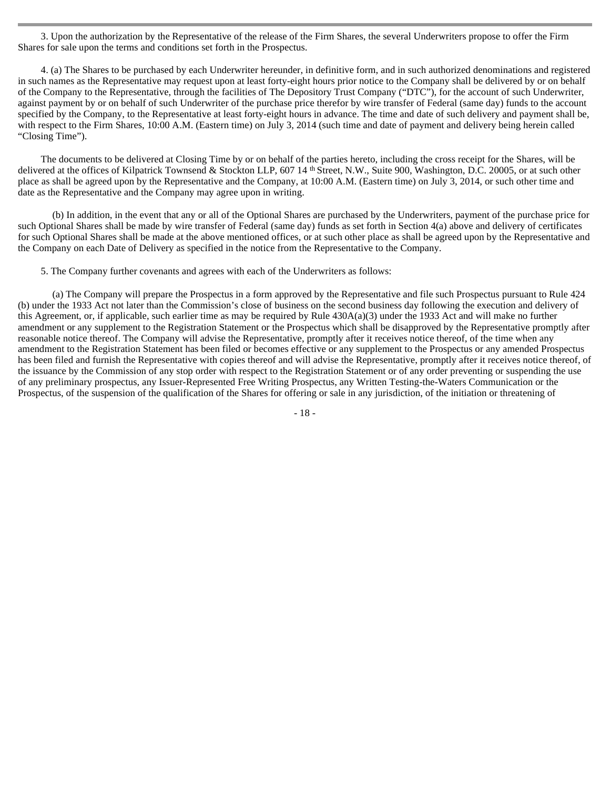3. Upon the authorization by the Representative of the release of the Firm Shares, the several Underwriters propose to offer the Firm Shares for sale upon the terms and conditions set forth in the Prospectus.

4. (a) The Shares to be purchased by each Underwriter hereunder, in definitive form, and in such authorized denominations and registered in such names as the Representative may request upon at least forty-eight hours prior notice to the Company shall be delivered by or on behalf of the Company to the Representative, through the facilities of The Depository Trust Company ("DTC"), for the account of such Underwriter, against payment by or on behalf of such Underwriter of the purchase price therefor by wire transfer of Federal (same day) funds to the account specified by the Company, to the Representative at least forty-eight hours in advance. The time and date of such delivery and payment shall be, with respect to the Firm Shares, 10:00 A.M. (Eastern time) on July 3, 2014 (such time and date of payment and delivery being herein called "Closing Time").

The documents to be delivered at Closing Time by or on behalf of the parties hereto, including the cross receipt for the Shares, will be delivered at the offices of Kilpatrick Townsend & Stockton LLP, 607 14 <sup>th</sup> Street, N.W., Suite 900, Washington, D.C. 20005, or at such other place as shall be agreed upon by the Representative and the Company, at 10:00 A.M. (Eastern time) on July 3, 2014, or such other time and date as the Representative and the Company may agree upon in writing.

(b) In addition, in the event that any or all of the Optional Shares are purchased by the Underwriters, payment of the purchase price for such Optional Shares shall be made by wire transfer of Federal (same day) funds as set forth in Section 4(a) above and delivery of certificates for such Optional Shares shall be made at the above mentioned offices, or at such other place as shall be agreed upon by the Representative and the Company on each Date of Delivery as specified in the notice from the Representative to the Company.

5. The Company further covenants and agrees with each of the Underwriters as follows:

(a) The Company will prepare the Prospectus in a form approved by the Representative and file such Prospectus pursuant to Rule 424 (b) under the 1933 Act not later than the Commission's close of business on the second business day following the execution and delivery of this Agreement, or, if applicable, such earlier time as may be required by Rule 430A(a)(3) under the 1933 Act and will make no further amendment or any supplement to the Registration Statement or the Prospectus which shall be disapproved by the Representative promptly after reasonable notice thereof. The Company will advise the Representative, promptly after it receives notice thereof, of the time when any amendment to the Registration Statement has been filed or becomes effective or any supplement to the Prospectus or any amended Prospectus has been filed and furnish the Representative with copies thereof and will advise the Representative, promptly after it receives notice thereof, of the issuance by the Commission of any stop order with respect to the Registration Statement or of any order preventing or suspending the use of any preliminary prospectus, any Issuer-Represented Free Writing Prospectus, any Written Testing-the-Waters Communication or the Prospectus, of the suspension of the qualification of the Shares for offering or sale in any jurisdiction, of the initiation or threatening of

- 18 -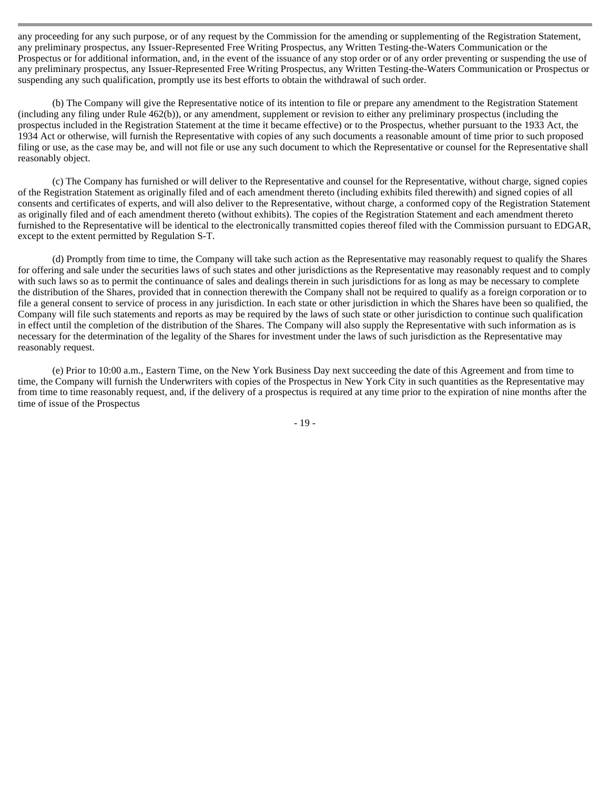any proceeding for any such purpose, or of any request by the Commission for the amending or supplementing of the Registration Statement, any preliminary prospectus, any Issuer-Represented Free Writing Prospectus, any Written Testing-the-Waters Communication or the Prospectus or for additional information, and, in the event of the issuance of any stop order or of any order preventing or suspending the use of any preliminary prospectus, any Issuer-Represented Free Writing Prospectus, any Written Testing-the-Waters Communication or Prospectus or suspending any such qualification, promptly use its best efforts to obtain the withdrawal of such order.

(b) The Company will give the Representative notice of its intention to file or prepare any amendment to the Registration Statement (including any filing under Rule 462(b)), or any amendment, supplement or revision to either any preliminary prospectus (including the prospectus included in the Registration Statement at the time it became effective) or to the Prospectus, whether pursuant to the 1933 Act, the 1934 Act or otherwise, will furnish the Representative with copies of any such documents a reasonable amount of time prior to such proposed filing or use, as the case may be, and will not file or use any such document to which the Representative or counsel for the Representative shall reasonably object.

(c) The Company has furnished or will deliver to the Representative and counsel for the Representative, without charge, signed copies of the Registration Statement as originally filed and of each amendment thereto (including exhibits filed therewith) and signed copies of all consents and certificates of experts, and will also deliver to the Representative, without charge, a conformed copy of the Registration Statement as originally filed and of each amendment thereto (without exhibits). The copies of the Registration Statement and each amendment thereto furnished to the Representative will be identical to the electronically transmitted copies thereof filed with the Commission pursuant to EDGAR, except to the extent permitted by Regulation S-T.

(d) Promptly from time to time, the Company will take such action as the Representative may reasonably request to qualify the Shares for offering and sale under the securities laws of such states and other jurisdictions as the Representative may reasonably request and to comply with such laws so as to permit the continuance of sales and dealings therein in such jurisdictions for as long as may be necessary to complete the distribution of the Shares, provided that in connection therewith the Company shall not be required to qualify as a foreign corporation or to file a general consent to service of process in any jurisdiction. In each state or other jurisdiction in which the Shares have been so qualified, the Company will file such statements and reports as may be required by the laws of such state or other jurisdiction to continue such qualification in effect until the completion of the distribution of the Shares. The Company will also supply the Representative with such information as is necessary for the determination of the legality of the Shares for investment under the laws of such jurisdiction as the Representative may reasonably request.

(e) Prior to 10:00 a.m., Eastern Time, on the New York Business Day next succeeding the date of this Agreement and from time to time, the Company will furnish the Underwriters with copies of the Prospectus in New York City in such quantities as the Representative may from time to time reasonably request, and, if the delivery of a prospectus is required at any time prior to the expiration of nine months after the time of issue of the Prospectus

- 19 -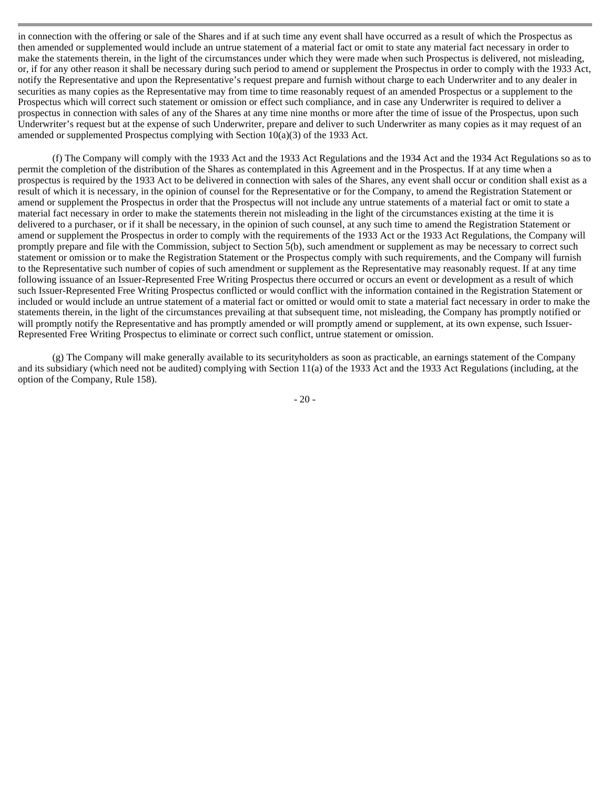in connection with the offering or sale of the Shares and if at such time any event shall have occurred as a result of which the Prospectus as then amended or supplemented would include an untrue statement of a material fact or omit to state any material fact necessary in order to make the statements therein, in the light of the circumstances under which they were made when such Prospectus is delivered, not misleading, or, if for any other reason it shall be necessary during such period to amend or supplement the Prospectus in order to comply with the 1933 Act, notify the Representative and upon the Representative's request prepare and furnish without charge to each Underwriter and to any dealer in securities as many copies as the Representative may from time to time reasonably request of an amended Prospectus or a supplement to the Prospectus which will correct such statement or omission or effect such compliance, and in case any Underwriter is required to deliver a prospectus in connection with sales of any of the Shares at any time nine months or more after the time of issue of the Prospectus, upon such Underwriter's request but at the expense of such Underwriter, prepare and deliver to such Underwriter as many copies as it may request of an amended or supplemented Prospectus complying with Section  $10(a)(3)$  of the 1933 Act.

(f) The Company will comply with the 1933 Act and the 1933 Act Regulations and the 1934 Act and the 1934 Act Regulations so as to permit the completion of the distribution of the Shares as contemplated in this Agreement and in the Prospectus. If at any time when a prospectus is required by the 1933 Act to be delivered in connection with sales of the Shares, any event shall occur or condition shall exist as a result of which it is necessary, in the opinion of counsel for the Representative or for the Company, to amend the Registration Statement or amend or supplement the Prospectus in order that the Prospectus will not include any untrue statements of a material fact or omit to state a material fact necessary in order to make the statements therein not misleading in the light of the circumstances existing at the time it is delivered to a purchaser, or if it shall be necessary, in the opinion of such counsel, at any such time to amend the Registration Statement or amend or supplement the Prospectus in order to comply with the requirements of the 1933 Act or the 1933 Act Regulations, the Company will promptly prepare and file with the Commission, subject to Section 5(b), such amendment or supplement as may be necessary to correct such statement or omission or to make the Registration Statement or the Prospectus comply with such requirements, and the Company will furnish to the Representative such number of copies of such amendment or supplement as the Representative may reasonably request. If at any time following issuance of an Issuer-Represented Free Writing Prospectus there occurred or occurs an event or development as a result of which such Issuer-Represented Free Writing Prospectus conflicted or would conflict with the information contained in the Registration Statement or included or would include an untrue statement of a material fact or omitted or would omit to state a material fact necessary in order to make the statements therein, in the light of the circumstances prevailing at that subsequent time, not misleading, the Company has promptly notified or will promptly notify the Representative and has promptly amended or will promptly amend or supplement, at its own expense, such Issuer-Represented Free Writing Prospectus to eliminate or correct such conflict, untrue statement or omission.

(g) The Company will make generally available to its securityholders as soon as practicable, an earnings statement of the Company and its subsidiary (which need not be audited) complying with Section 11(a) of the 1933 Act and the 1933 Act Regulations (including, at the option of the Company, Rule 158).

- 20 -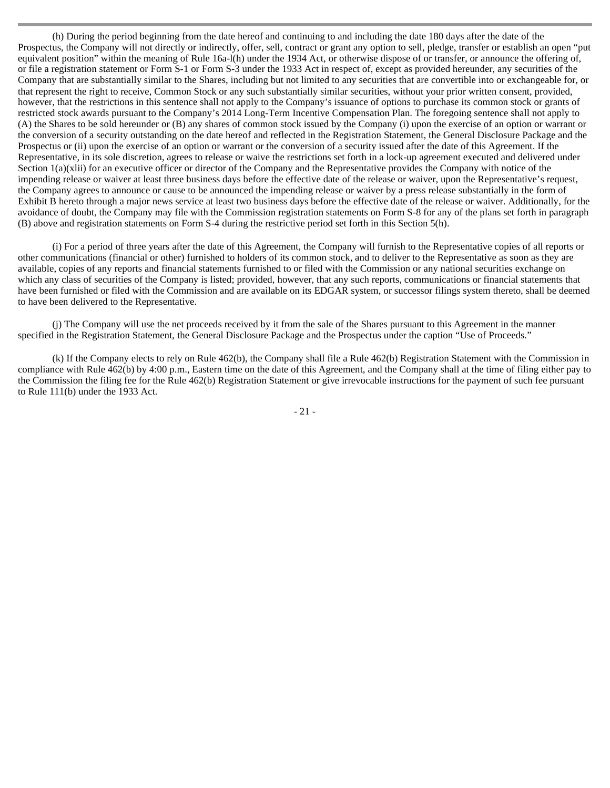(h) During the period beginning from the date hereof and continuing to and including the date 180 days after the date of the Prospectus, the Company will not directly or indirectly, offer, sell, contract or grant any option to sell, pledge, transfer or establish an open "put equivalent position" within the meaning of Rule 16a-l(h) under the 1934 Act, or otherwise dispose of or transfer, or announce the offering of, or file a registration statement or Form S-1 or Form S-3 under the 1933 Act in respect of, except as provided hereunder, any securities of the Company that are substantially similar to the Shares, including but not limited to any securities that are convertible into or exchangeable for, or that represent the right to receive, Common Stock or any such substantially similar securities, without your prior written consent, provided, however, that the restrictions in this sentence shall not apply to the Company's issuance of options to purchase its common stock or grants of restricted stock awards pursuant to the Company's 2014 Long-Term Incentive Compensation Plan. The foregoing sentence shall not apply to (A) the Shares to be sold hereunder or (B) any shares of common stock issued by the Company (i) upon the exercise of an option or warrant or the conversion of a security outstanding on the date hereof and reflected in the Registration Statement, the General Disclosure Package and the Prospectus or (ii) upon the exercise of an option or warrant or the conversion of a security issued after the date of this Agreement. If the Representative, in its sole discretion, agrees to release or waive the restrictions set forth in a lock-up agreement executed and delivered under Section  $1(a)(x)$  for an executive officer or director of the Company and the Representative provides the Company with notice of the impending release or waiver at least three business days before the effective date of the release or waiver, upon the Representative's request, the Company agrees to announce or cause to be announced the impending release or waiver by a press release substantially in the form of Exhibit B hereto through a major news service at least two business days before the effective date of the release or waiver. Additionally, for the avoidance of doubt, the Company may file with the Commission registration statements on Form S-8 for any of the plans set forth in paragraph (B) above and registration statements on Form S-4 during the restrictive period set forth in this Section 5(h).

(i) For a period of three years after the date of this Agreement, the Company will furnish to the Representative copies of all reports or other communications (financial or other) furnished to holders of its common stock, and to deliver to the Representative as soon as they are available, copies of any reports and financial statements furnished to or filed with the Commission or any national securities exchange on which any class of securities of the Company is listed; provided, however, that any such reports, communications or financial statements that have been furnished or filed with the Commission and are available on its EDGAR system, or successor filings system thereto, shall be deemed to have been delivered to the Representative.

(j) The Company will use the net proceeds received by it from the sale of the Shares pursuant to this Agreement in the manner specified in the Registration Statement, the General Disclosure Package and the Prospectus under the caption "Use of Proceeds."

(k) If the Company elects to rely on Rule 462(b), the Company shall file a Rule 462(b) Registration Statement with the Commission in compliance with Rule 462(b) by 4:00 p.m., Eastern time on the date of this Agreement, and the Company shall at the time of filing either pay to the Commission the filing fee for the Rule 462(b) Registration Statement or give irrevocable instructions for the payment of such fee pursuant to Rule 111(b) under the 1933 Act.

- 21 -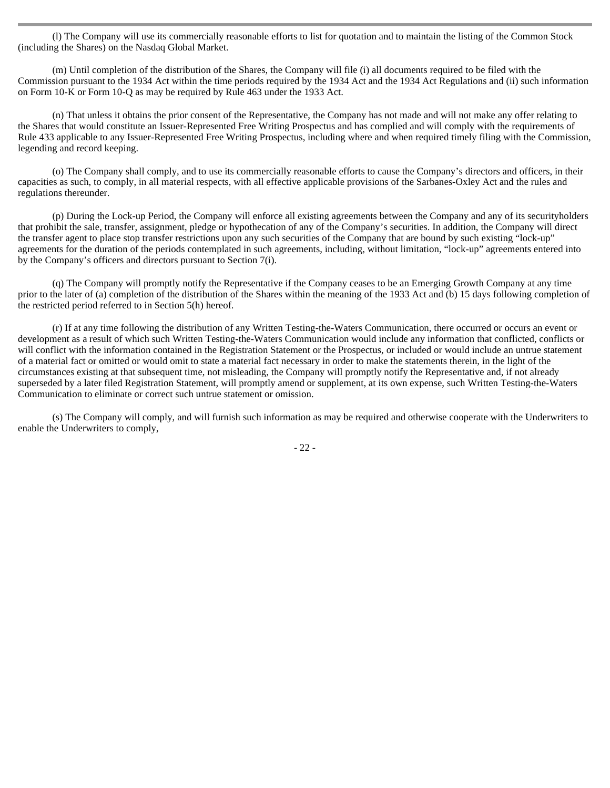(l) The Company will use its commercially reasonable efforts to list for quotation and to maintain the listing of the Common Stock (including the Shares) on the Nasdaq Global Market.

(m) Until completion of the distribution of the Shares, the Company will file (i) all documents required to be filed with the Commission pursuant to the 1934 Act within the time periods required by the 1934 Act and the 1934 Act Regulations and (ii) such information on Form 10-K or Form 10-Q as may be required by Rule 463 under the 1933 Act.

(n) That unless it obtains the prior consent of the Representative, the Company has not made and will not make any offer relating to the Shares that would constitute an Issuer-Represented Free Writing Prospectus and has complied and will comply with the requirements of Rule 433 applicable to any Issuer-Represented Free Writing Prospectus, including where and when required timely filing with the Commission, legending and record keeping.

(o) The Company shall comply, and to use its commercially reasonable efforts to cause the Company's directors and officers, in their capacities as such, to comply, in all material respects, with all effective applicable provisions of the Sarbanes-Oxley Act and the rules and regulations thereunder.

(p) During the Lock-up Period, the Company will enforce all existing agreements between the Company and any of its securityholders that prohibit the sale, transfer, assignment, pledge or hypothecation of any of the Company's securities. In addition, the Company will direct the transfer agent to place stop transfer restrictions upon any such securities of the Company that are bound by such existing "lock-up" agreements for the duration of the periods contemplated in such agreements, including, without limitation, "lock-up" agreements entered into by the Company's officers and directors pursuant to Section 7(i).

(q) The Company will promptly notify the Representative if the Company ceases to be an Emerging Growth Company at any time prior to the later of (a) completion of the distribution of the Shares within the meaning of the 1933 Act and (b) 15 days following completion of the restricted period referred to in Section 5(h) hereof.

(r) If at any time following the distribution of any Written Testing-the-Waters Communication, there occurred or occurs an event or development as a result of which such Written Testing-the-Waters Communication would include any information that conflicted, conflicts or will conflict with the information contained in the Registration Statement or the Prospectus, or included or would include an untrue statement of a material fact or omitted or would omit to state a material fact necessary in order to make the statements therein, in the light of the circumstances existing at that subsequent time, not misleading, the Company will promptly notify the Representative and, if not already superseded by a later filed Registration Statement, will promptly amend or supplement, at its own expense, such Written Testing-the-Waters Communication to eliminate or correct such untrue statement or omission.

(s) The Company will comply, and will furnish such information as may be required and otherwise cooperate with the Underwriters to enable the Underwriters to comply,

- 22 -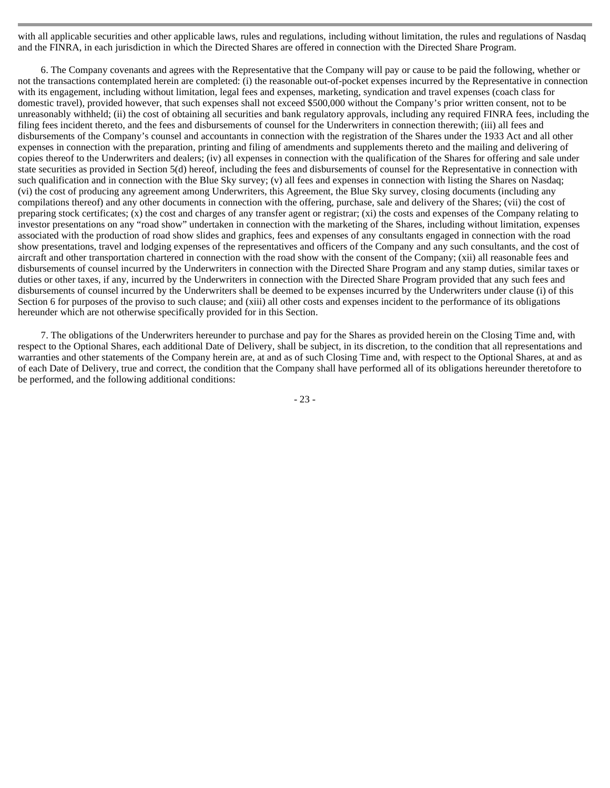with all applicable securities and other applicable laws, rules and regulations, including without limitation, the rules and regulations of Nasdaq and the FINRA, in each jurisdiction in which the Directed Shares are offered in connection with the Directed Share Program.

6. The Company covenants and agrees with the Representative that the Company will pay or cause to be paid the following, whether or not the transactions contemplated herein are completed: (i) the reasonable out-of-pocket expenses incurred by the Representative in connection with its engagement, including without limitation, legal fees and expenses, marketing, syndication and travel expenses (coach class for domestic travel), provided however, that such expenses shall not exceed \$500,000 without the Company's prior written consent, not to be unreasonably withheld; (ii) the cost of obtaining all securities and bank regulatory approvals, including any required FINRA fees, including the filing fees incident thereto, and the fees and disbursements of counsel for the Underwriters in connection therewith; (iii) all fees and disbursements of the Company's counsel and accountants in connection with the registration of the Shares under the 1933 Act and all other expenses in connection with the preparation, printing and filing of amendments and supplements thereto and the mailing and delivering of copies thereof to the Underwriters and dealers; (iv) all expenses in connection with the qualification of the Shares for offering and sale under state securities as provided in Section 5(d) hereof, including the fees and disbursements of counsel for the Representative in connection with such qualification and in connection with the Blue Sky survey; (v) all fees and expenses in connection with listing the Shares on Nasdaq; (vi) the cost of producing any agreement among Underwriters, this Agreement, the Blue Sky survey, closing documents (including any compilations thereof) and any other documents in connection with the offering, purchase, sale and delivery of the Shares; (vii) the cost of preparing stock certificates; (x) the cost and charges of any transfer agent or registrar; (xi) the costs and expenses of the Company relating to investor presentations on any "road show" undertaken in connection with the marketing of the Shares, including without limitation, expenses associated with the production of road show slides and graphics, fees and expenses of any consultants engaged in connection with the road show presentations, travel and lodging expenses of the representatives and officers of the Company and any such consultants, and the cost of aircraft and other transportation chartered in connection with the road show with the consent of the Company; (xii) all reasonable fees and disbursements of counsel incurred by the Underwriters in connection with the Directed Share Program and any stamp duties, similar taxes or duties or other taxes, if any, incurred by the Underwriters in connection with the Directed Share Program provided that any such fees and disbursements of counsel incurred by the Underwriters shall be deemed to be expenses incurred by the Underwriters under clause (i) of this Section 6 for purposes of the proviso to such clause; and (xiii) all other costs and expenses incident to the performance of its obligations hereunder which are not otherwise specifically provided for in this Section.

7. The obligations of the Underwriters hereunder to purchase and pay for the Shares as provided herein on the Closing Time and, with respect to the Optional Shares, each additional Date of Delivery, shall be subject, in its discretion, to the condition that all representations and warranties and other statements of the Company herein are, at and as of such Closing Time and, with respect to the Optional Shares, at and as of each Date of Delivery, true and correct, the condition that the Company shall have performed all of its obligations hereunder theretofore to be performed, and the following additional conditions:

- 23 -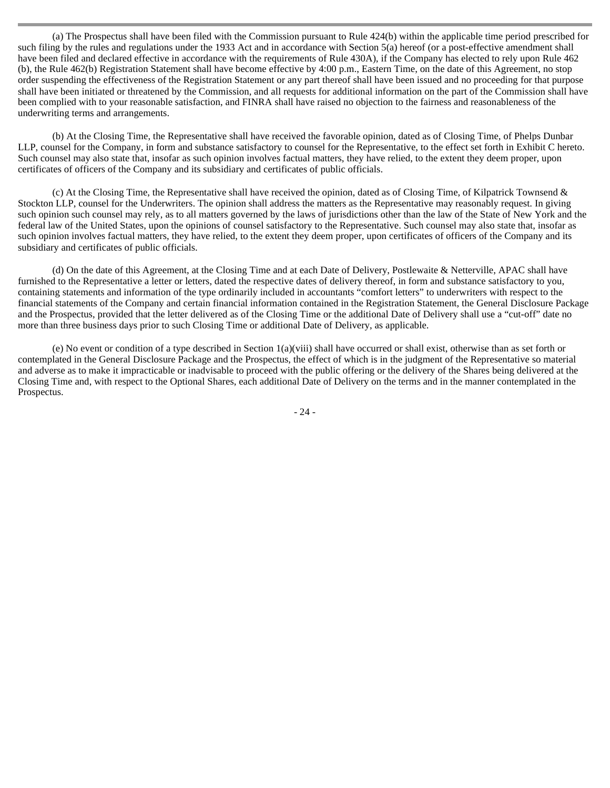(a) The Prospectus shall have been filed with the Commission pursuant to Rule 424(b) within the applicable time period prescribed for such filing by the rules and regulations under the 1933 Act and in accordance with Section 5(a) hereof (or a post-effective amendment shall have been filed and declared effective in accordance with the requirements of Rule 430A), if the Company has elected to rely upon Rule 462 (b), the Rule 462(b) Registration Statement shall have become effective by 4:00 p.m., Eastern Time, on the date of this Agreement, no stop order suspending the effectiveness of the Registration Statement or any part thereof shall have been issued and no proceeding for that purpose shall have been initiated or threatened by the Commission, and all requests for additional information on the part of the Commission shall have been complied with to your reasonable satisfaction, and FINRA shall have raised no objection to the fairness and reasonableness of the underwriting terms and arrangements.

(b) At the Closing Time, the Representative shall have received the favorable opinion, dated as of Closing Time, of Phelps Dunbar LLP, counsel for the Company, in form and substance satisfactory to counsel for the Representative, to the effect set forth in Exhibit C hereto. Such counsel may also state that, insofar as such opinion involves factual matters, they have relied, to the extent they deem proper, upon certificates of officers of the Company and its subsidiary and certificates of public officials.

(c) At the Closing Time, the Representative shall have received the opinion, dated as of Closing Time, of Kilpatrick Townsend & Stockton LLP, counsel for the Underwriters. The opinion shall address the matters as the Representative may reasonably request. In giving such opinion such counsel may rely, as to all matters governed by the laws of jurisdictions other than the law of the State of New York and the federal law of the United States, upon the opinions of counsel satisfactory to the Representative. Such counsel may also state that, insofar as such opinion involves factual matters, they have relied, to the extent they deem proper, upon certificates of officers of the Company and its subsidiary and certificates of public officials.

(d) On the date of this Agreement, at the Closing Time and at each Date of Delivery, Postlewaite & Netterville, APAC shall have furnished to the Representative a letter or letters, dated the respective dates of delivery thereof, in form and substance satisfactory to you, containing statements and information of the type ordinarily included in accountants "comfort letters" to underwriters with respect to the financial statements of the Company and certain financial information contained in the Registration Statement, the General Disclosure Package and the Prospectus, provided that the letter delivered as of the Closing Time or the additional Date of Delivery shall use a "cut-off" date no more than three business days prior to such Closing Time or additional Date of Delivery, as applicable.

(e) No event or condition of a type described in Section 1(a)(viii) shall have occurred or shall exist, otherwise than as set forth or contemplated in the General Disclosure Package and the Prospectus, the effect of which is in the judgment of the Representative so material and adverse as to make it impracticable or inadvisable to proceed with the public offering or the delivery of the Shares being delivered at the Closing Time and, with respect to the Optional Shares, each additional Date of Delivery on the terms and in the manner contemplated in the Prospectus.

- 24 -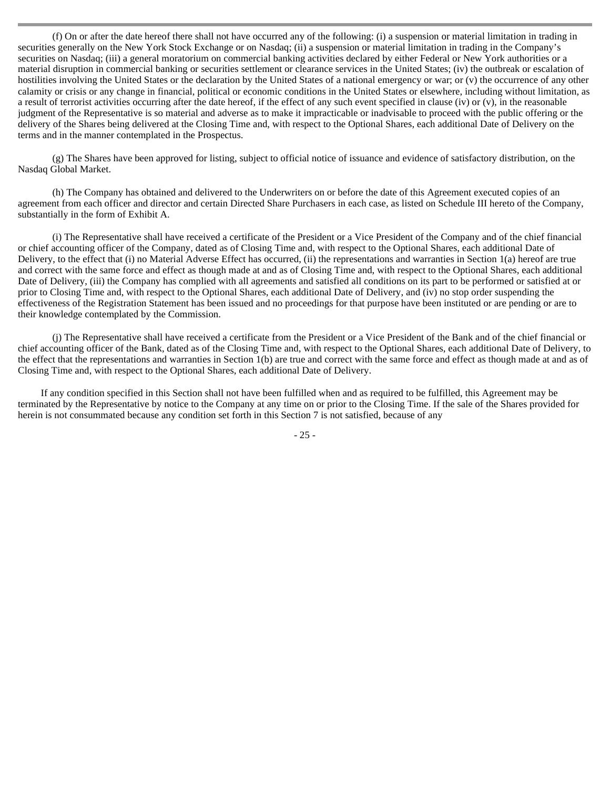(f) On or after the date hereof there shall not have occurred any of the following: (i) a suspension or material limitation in trading in securities generally on the New York Stock Exchange or on Nasdaq; (ii) a suspension or material limitation in trading in the Company's securities on Nasdaq; (iii) a general moratorium on commercial banking activities declared by either Federal or New York authorities or a material disruption in commercial banking or securities settlement or clearance services in the United States; (iv) the outbreak or escalation of hostilities involving the United States or the declaration by the United States of a national emergency or war; or (v) the occurrence of any other calamity or crisis or any change in financial, political or economic conditions in the United States or elsewhere, including without limitation, as a result of terrorist activities occurring after the date hereof, if the effect of any such event specified in clause (iv) or  $(v)$ , in the reasonable judgment of the Representative is so material and adverse as to make it impracticable or inadvisable to proceed with the public offering or the delivery of the Shares being delivered at the Closing Time and, with respect to the Optional Shares, each additional Date of Delivery on the terms and in the manner contemplated in the Prospectus.

(g) The Shares have been approved for listing, subject to official notice of issuance and evidence of satisfactory distribution, on the Nasdaq Global Market.

(h) The Company has obtained and delivered to the Underwriters on or before the date of this Agreement executed copies of an agreement from each officer and director and certain Directed Share Purchasers in each case, as listed on Schedule III hereto of the Company, substantially in the form of Exhibit A.

(i) The Representative shall have received a certificate of the President or a Vice President of the Company and of the chief financial or chief accounting officer of the Company, dated as of Closing Time and, with respect to the Optional Shares, each additional Date of Delivery, to the effect that (i) no Material Adverse Effect has occurred, (ii) the representations and warranties in Section 1(a) hereof are true and correct with the same force and effect as though made at and as of Closing Time and, with respect to the Optional Shares, each additional Date of Delivery, (iii) the Company has complied with all agreements and satisfied all conditions on its part to be performed or satisfied at or prior to Closing Time and, with respect to the Optional Shares, each additional Date of Delivery, and (iv) no stop order suspending the effectiveness of the Registration Statement has been issued and no proceedings for that purpose have been instituted or are pending or are to their knowledge contemplated by the Commission.

(j) The Representative shall have received a certificate from the President or a Vice President of the Bank and of the chief financial or chief accounting officer of the Bank, dated as of the Closing Time and, with respect to the Optional Shares, each additional Date of Delivery, to the effect that the representations and warranties in Section 1(b) are true and correct with the same force and effect as though made at and as of Closing Time and, with respect to the Optional Shares, each additional Date of Delivery.

If any condition specified in this Section shall not have been fulfilled when and as required to be fulfilled, this Agreement may be terminated by the Representative by notice to the Company at any time on or prior to the Closing Time. If the sale of the Shares provided for herein is not consummated because any condition set forth in this Section 7 is not satisfied, because of any

- 25 -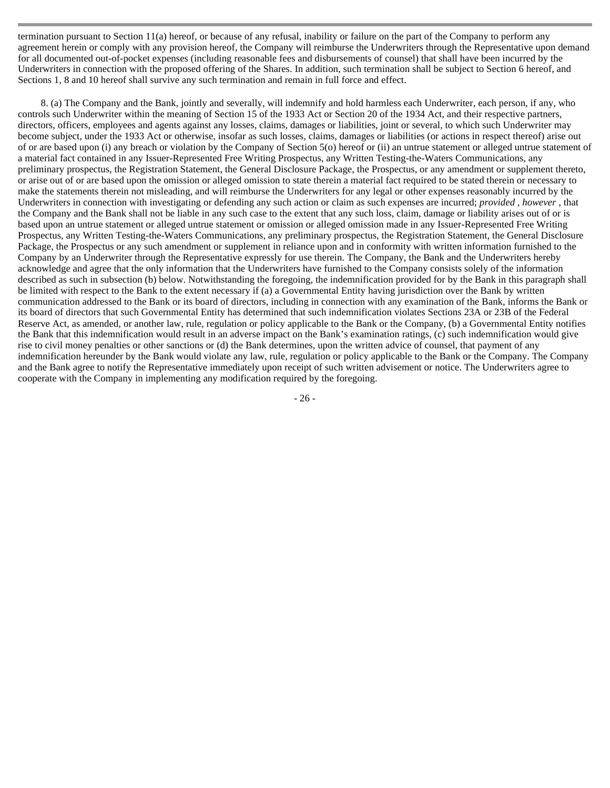termination pursuant to Section 11(a) hereof, or because of any refusal, inability or failure on the part of the Company to perform any agreement herein or comply with any provision hereof, the Company will reimburse the Underwriters through the Representative upon demand for all documented out-of-pocket expenses (including reasonable fees and disbursements of counsel) that shall have been incurred by the Underwriters in connection with the proposed offering of the Shares. In addition, such termination shall be subject to Section 6 hereof, and Sections 1, 8 and 10 hereof shall survive any such termination and remain in full force and effect.

8. (a) The Company and the Bank, jointly and severally, will indemnify and hold harmless each Underwriter, each person, if any, who controls such Underwriter within the meaning of Section 15 of the 1933 Act or Section 20 of the 1934 Act, and their respective partners, directors, officers, employees and agents against any losses, claims, damages or liabilities, joint or several, to which such Underwriter may become subject, under the 1933 Act or otherwise, insofar as such losses, claims, damages or liabilities (or actions in respect thereof) arise out of or are based upon (i) any breach or violation by the Company of Section 5(o) hereof or (ii) an untrue statement or alleged untrue statement of a material fact contained in any Issuer-Represented Free Writing Prospectus, any Written Testing-the-Waters Communications, any preliminary prospectus, the Registration Statement, the General Disclosure Package, the Prospectus, or any amendment or supplement thereto, or arise out of or are based upon the omission or alleged omission to state therein a material fact required to be stated therein or necessary to make the statements therein not misleading, and will reimburse the Underwriters for any legal or other expenses reasonably incurred by the Underwriters in connection with investigating or defending any such action or claim as such expenses are incurred; *provided* , *however* , that the Company and the Bank shall not be liable in any such case to the extent that any such loss, claim, damage or liability arises out of or is based upon an untrue statement or alleged untrue statement or omission or alleged omission made in any Issuer-Represented Free Writing Prospectus, any Written Testing-the-Waters Communications, any preliminary prospectus, the Registration Statement, the General Disclosure Package, the Prospectus or any such amendment or supplement in reliance upon and in conformity with written information furnished to the Company by an Underwriter through the Representative expressly for use therein. The Company, the Bank and the Underwriters hereby acknowledge and agree that the only information that the Underwriters have furnished to the Company consists solely of the information described as such in subsection (b) below. Notwithstanding the foregoing, the indemnification provided for by the Bank in this paragraph shall be limited with respect to the Bank to the extent necessary if (a) a Governmental Entity having jurisdiction over the Bank by written communication addressed to the Bank or its board of directors, including in connection with any examination of the Bank, informs the Bank or its board of directors that such Governmental Entity has determined that such indemnification violates Sections 23A or 23B of the Federal Reserve Act, as amended, or another law, rule, regulation or policy applicable to the Bank or the Company, (b) a Governmental Entity notifies the Bank that this indemnification would result in an adverse impact on the Bank's examination ratings, (c) such indemnification would give rise to civil money penalties or other sanctions or (d) the Bank determines, upon the written advice of counsel, that payment of any indemnification hereunder by the Bank would violate any law, rule, regulation or policy applicable to the Bank or the Company. The Company and the Bank agree to notify the Representative immediately upon receipt of such written advisement or notice. The Underwriters agree to cooperate with the Company in implementing any modification required by the foregoing.

- 26 -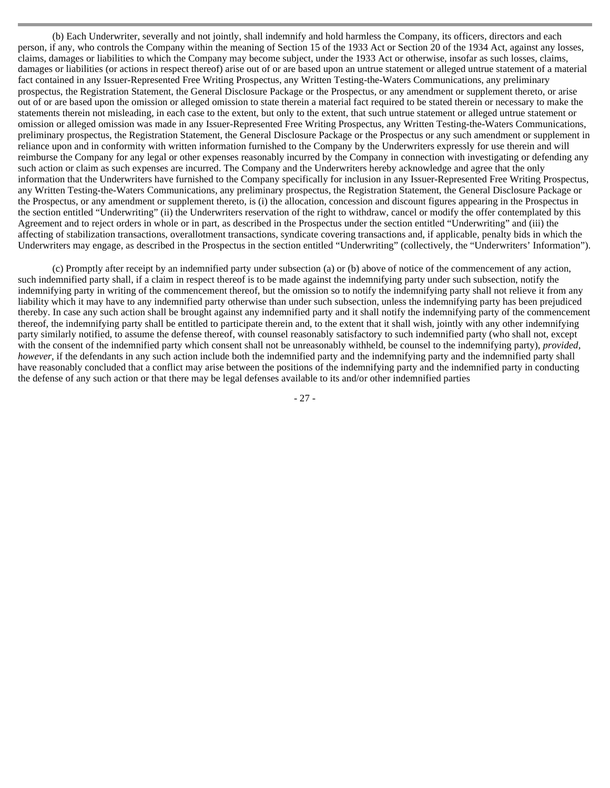(b) Each Underwriter, severally and not jointly, shall indemnify and hold harmless the Company, its officers, directors and each person, if any, who controls the Company within the meaning of Section 15 of the 1933 Act or Section 20 of the 1934 Act, against any losses, claims, damages or liabilities to which the Company may become subject, under the 1933 Act or otherwise, insofar as such losses, claims, damages or liabilities (or actions in respect thereof) arise out of or are based upon an untrue statement or alleged untrue statement of a material fact contained in any Issuer-Represented Free Writing Prospectus, any Written Testing-the-Waters Communications, any preliminary prospectus, the Registration Statement, the General Disclosure Package or the Prospectus, or any amendment or supplement thereto, or arise out of or are based upon the omission or alleged omission to state therein a material fact required to be stated therein or necessary to make the statements therein not misleading, in each case to the extent, but only to the extent, that such untrue statement or alleged untrue statement or omission or alleged omission was made in any Issuer-Represented Free Writing Prospectus, any Written Testing-the-Waters Communications, preliminary prospectus, the Registration Statement, the General Disclosure Package or the Prospectus or any such amendment or supplement in reliance upon and in conformity with written information furnished to the Company by the Underwriters expressly for use therein and will reimburse the Company for any legal or other expenses reasonably incurred by the Company in connection with investigating or defending any such action or claim as such expenses are incurred. The Company and the Underwriters hereby acknowledge and agree that the only information that the Underwriters have furnished to the Company specifically for inclusion in any Issuer-Represented Free Writing Prospectus, any Written Testing-the-Waters Communications, any preliminary prospectus, the Registration Statement, the General Disclosure Package or the Prospectus, or any amendment or supplement thereto, is (i) the allocation, concession and discount figures appearing in the Prospectus in the section entitled "Underwriting" (ii) the Underwriters reservation of the right to withdraw, cancel or modify the offer contemplated by this Agreement and to reject orders in whole or in part, as described in the Prospectus under the section entitled "Underwriting" and (iii) the affecting of stabilization transactions, overallotment transactions, syndicate covering transactions and, if applicable, penalty bids in which the Underwriters may engage, as described in the Prospectus in the section entitled "Underwriting" (collectively, the "Underwriters' Information").

(c) Promptly after receipt by an indemnified party under subsection (a) or (b) above of notice of the commencement of any action, such indemnified party shall, if a claim in respect thereof is to be made against the indemnifying party under such subsection, notify the indemnifying party in writing of the commencement thereof, but the omission so to notify the indemnifying party shall not relieve it from any liability which it may have to any indemnified party otherwise than under such subsection, unless the indemnifying party has been prejudiced thereby. In case any such action shall be brought against any indemnified party and it shall notify the indemnifying party of the commencement thereof, the indemnifying party shall be entitled to participate therein and, to the extent that it shall wish, jointly with any other indemnifying party similarly notified, to assume the defense thereof, with counsel reasonably satisfactory to such indemnified party (who shall not, except with the consent of the indemnified party which consent shall not be unreasonably withheld, be counsel to the indemnifying party), *provided, however*, if the defendants in any such action include both the indemnified party and the indemnifying party and the indemnified party shall have reasonably concluded that a conflict may arise between the positions of the indemnifying party and the indemnified party in conducting the defense of any such action or that there may be legal defenses available to its and/or other indemnified parties

- 27 -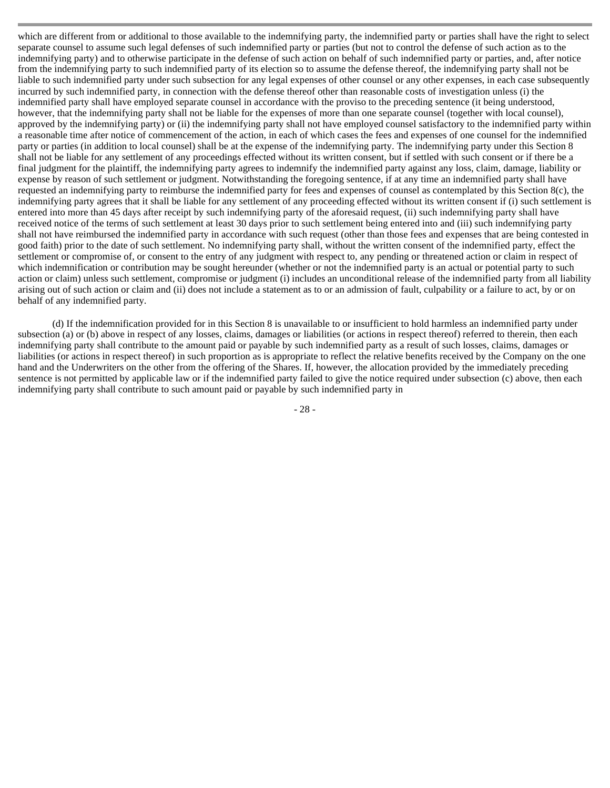which are different from or additional to those available to the indemnifying party, the indemnified party or parties shall have the right to select separate counsel to assume such legal defenses of such indemnified party or parties (but not to control the defense of such action as to the indemnifying party) and to otherwise participate in the defense of such action on behalf of such indemnified party or parties, and, after notice from the indemnifying party to such indemnified party of its election so to assume the defense thereof, the indemnifying party shall not be liable to such indemnified party under such subsection for any legal expenses of other counsel or any other expenses, in each case subsequently incurred by such indemnified party, in connection with the defense thereof other than reasonable costs of investigation unless (i) the indemnified party shall have employed separate counsel in accordance with the proviso to the preceding sentence (it being understood, however, that the indemnifying party shall not be liable for the expenses of more than one separate counsel (together with local counsel), approved by the indemnifying party) or (ii) the indemnifying party shall not have employed counsel satisfactory to the indemnified party within a reasonable time after notice of commencement of the action, in each of which cases the fees and expenses of one counsel for the indemnified party or parties (in addition to local counsel) shall be at the expense of the indemnifying party. The indemnifying party under this Section 8 shall not be liable for any settlement of any proceedings effected without its written consent, but if settled with such consent or if there be a final judgment for the plaintiff, the indemnifying party agrees to indemnify the indemnified party against any loss, claim, damage, liability or expense by reason of such settlement or judgment. Notwithstanding the foregoing sentence, if at any time an indemnified party shall have requested an indemnifying party to reimburse the indemnified party for fees and expenses of counsel as contemplated by this Section 8(c), the indemnifying party agrees that it shall be liable for any settlement of any proceeding effected without its written consent if (i) such settlement is entered into more than 45 days after receipt by such indemnifying party of the aforesaid request, (ii) such indemnifying party shall have received notice of the terms of such settlement at least 30 days prior to such settlement being entered into and (iii) such indemnifying party shall not have reimbursed the indemnified party in accordance with such request (other than those fees and expenses that are being contested in good faith) prior to the date of such settlement. No indemnifying party shall, without the written consent of the indemnified party, effect the settlement or compromise of, or consent to the entry of any judgment with respect to, any pending or threatened action or claim in respect of which indemnification or contribution may be sought hereunder (whether or not the indemnified party is an actual or potential party to such action or claim) unless such settlement, compromise or judgment (i) includes an unconditional release of the indemnified party from all liability arising out of such action or claim and (ii) does not include a statement as to or an admission of fault, culpability or a failure to act, by or on behalf of any indemnified party.

(d) If the indemnification provided for in this Section 8 is unavailable to or insufficient to hold harmless an indemnified party under subsection (a) or (b) above in respect of any losses, claims, damages or liabilities (or actions in respect thereof) referred to therein, then each indemnifying party shall contribute to the amount paid or payable by such indemnified party as a result of such losses, claims, damages or liabilities (or actions in respect thereof) in such proportion as is appropriate to reflect the relative benefits received by the Company on the one hand and the Underwriters on the other from the offering of the Shares. If, however, the allocation provided by the immediately preceding sentence is not permitted by applicable law or if the indemnified party failed to give the notice required under subsection (c) above, then each indemnifying party shall contribute to such amount paid or payable by such indemnified party in

- 28 -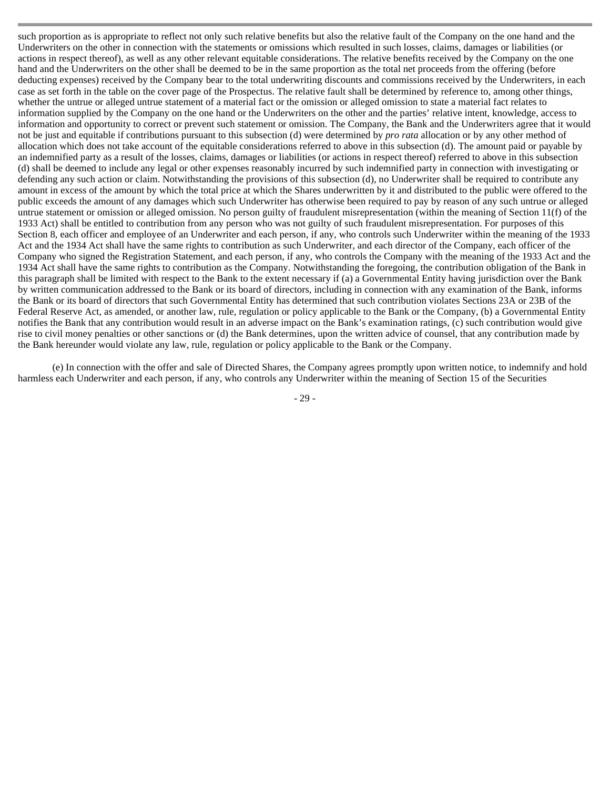such proportion as is appropriate to reflect not only such relative benefits but also the relative fault of the Company on the one hand and the Underwriters on the other in connection with the statements or omissions which resulted in such losses, claims, damages or liabilities (or actions in respect thereof), as well as any other relevant equitable considerations. The relative benefits received by the Company on the one hand and the Underwriters on the other shall be deemed to be in the same proportion as the total net proceeds from the offering (before deducting expenses) received by the Company bear to the total underwriting discounts and commissions received by the Underwriters, in each case as set forth in the table on the cover page of the Prospectus. The relative fault shall be determined by reference to, among other things, whether the untrue or alleged untrue statement of a material fact or the omission or alleged omission to state a material fact relates to information supplied by the Company on the one hand or the Underwriters on the other and the parties' relative intent, knowledge, access to information and opportunity to correct or prevent such statement or omission. The Company, the Bank and the Underwriters agree that it would not be just and equitable if contributions pursuant to this subsection (d) were determined by *pro rata* allocation or by any other method of allocation which does not take account of the equitable considerations referred to above in this subsection (d). The amount paid or payable by an indemnified party as a result of the losses, claims, damages or liabilities (or actions in respect thereof) referred to above in this subsection (d) shall be deemed to include any legal or other expenses reasonably incurred by such indemnified party in connection with investigating or defending any such action or claim. Notwithstanding the provisions of this subsection (d), no Underwriter shall be required to contribute any amount in excess of the amount by which the total price at which the Shares underwritten by it and distributed to the public were offered to the public exceeds the amount of any damages which such Underwriter has otherwise been required to pay by reason of any such untrue or alleged untrue statement or omission or alleged omission. No person guilty of fraudulent misrepresentation (within the meaning of Section 11(f) of the 1933 Act) shall be entitled to contribution from any person who was not guilty of such fraudulent misrepresentation. For purposes of this Section 8, each officer and employee of an Underwriter and each person, if any, who controls such Underwriter within the meaning of the 1933 Act and the 1934 Act shall have the same rights to contribution as such Underwriter, and each director of the Company, each officer of the Company who signed the Registration Statement, and each person, if any, who controls the Company with the meaning of the 1933 Act and the 1934 Act shall have the same rights to contribution as the Company. Notwithstanding the foregoing, the contribution obligation of the Bank in this paragraph shall be limited with respect to the Bank to the extent necessary if (a) a Governmental Entity having jurisdiction over the Bank by written communication addressed to the Bank or its board of directors, including in connection with any examination of the Bank, informs the Bank or its board of directors that such Governmental Entity has determined that such contribution violates Sections 23A or 23B of the Federal Reserve Act, as amended, or another law, rule, regulation or policy applicable to the Bank or the Company, (b) a Governmental Entity notifies the Bank that any contribution would result in an adverse impact on the Bank's examination ratings, (c) such contribution would give rise to civil money penalties or other sanctions or (d) the Bank determines, upon the written advice of counsel, that any contribution made by the Bank hereunder would violate any law, rule, regulation or policy applicable to the Bank or the Company.

(e) In connection with the offer and sale of Directed Shares, the Company agrees promptly upon written notice, to indemnify and hold harmless each Underwriter and each person, if any, who controls any Underwriter within the meaning of Section 15 of the Securities

- 29 -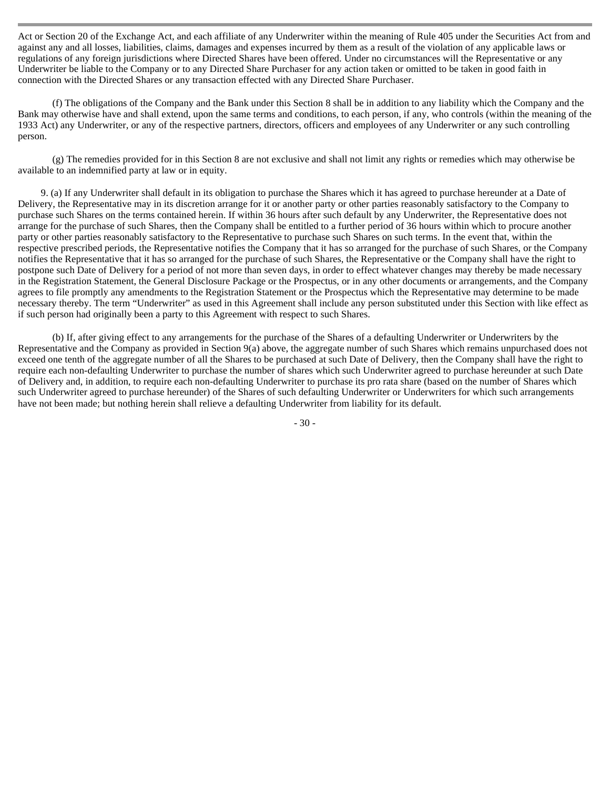Act or Section 20 of the Exchange Act, and each affiliate of any Underwriter within the meaning of Rule 405 under the Securities Act from and against any and all losses, liabilities, claims, damages and expenses incurred by them as a result of the violation of any applicable laws or regulations of any foreign jurisdictions where Directed Shares have been offered. Under no circumstances will the Representative or any Underwriter be liable to the Company or to any Directed Share Purchaser for any action taken or omitted to be taken in good faith in connection with the Directed Shares or any transaction effected with any Directed Share Purchaser.

(f) The obligations of the Company and the Bank under this Section 8 shall be in addition to any liability which the Company and the Bank may otherwise have and shall extend, upon the same terms and conditions, to each person, if any, who controls (within the meaning of the 1933 Act) any Underwriter, or any of the respective partners, directors, officers and employees of any Underwriter or any such controlling person.

(g) The remedies provided for in this Section 8 are not exclusive and shall not limit any rights or remedies which may otherwise be available to an indemnified party at law or in equity.

9. (a) If any Underwriter shall default in its obligation to purchase the Shares which it has agreed to purchase hereunder at a Date of Delivery, the Representative may in its discretion arrange for it or another party or other parties reasonably satisfactory to the Company to purchase such Shares on the terms contained herein. If within 36 hours after such default by any Underwriter, the Representative does not arrange for the purchase of such Shares, then the Company shall be entitled to a further period of 36 hours within which to procure another party or other parties reasonably satisfactory to the Representative to purchase such Shares on such terms. In the event that, within the respective prescribed periods, the Representative notifies the Company that it has so arranged for the purchase of such Shares, or the Company notifies the Representative that it has so arranged for the purchase of such Shares, the Representative or the Company shall have the right to postpone such Date of Delivery for a period of not more than seven days, in order to effect whatever changes may thereby be made necessary in the Registration Statement, the General Disclosure Package or the Prospectus, or in any other documents or arrangements, and the Company agrees to file promptly any amendments to the Registration Statement or the Prospectus which the Representative may determine to be made necessary thereby. The term "Underwriter" as used in this Agreement shall include any person substituted under this Section with like effect as if such person had originally been a party to this Agreement with respect to such Shares.

(b) If, after giving effect to any arrangements for the purchase of the Shares of a defaulting Underwriter or Underwriters by the Representative and the Company as provided in Section 9(a) above, the aggregate number of such Shares which remains unpurchased does not exceed one tenth of the aggregate number of all the Shares to be purchased at such Date of Delivery, then the Company shall have the right to require each non-defaulting Underwriter to purchase the number of shares which such Underwriter agreed to purchase hereunder at such Date of Delivery and, in addition, to require each non-defaulting Underwriter to purchase its pro rata share (based on the number of Shares which such Underwriter agreed to purchase hereunder) of the Shares of such defaulting Underwriter or Underwriters for which such arrangements have not been made; but nothing herein shall relieve a defaulting Underwriter from liability for its default.

- 30 -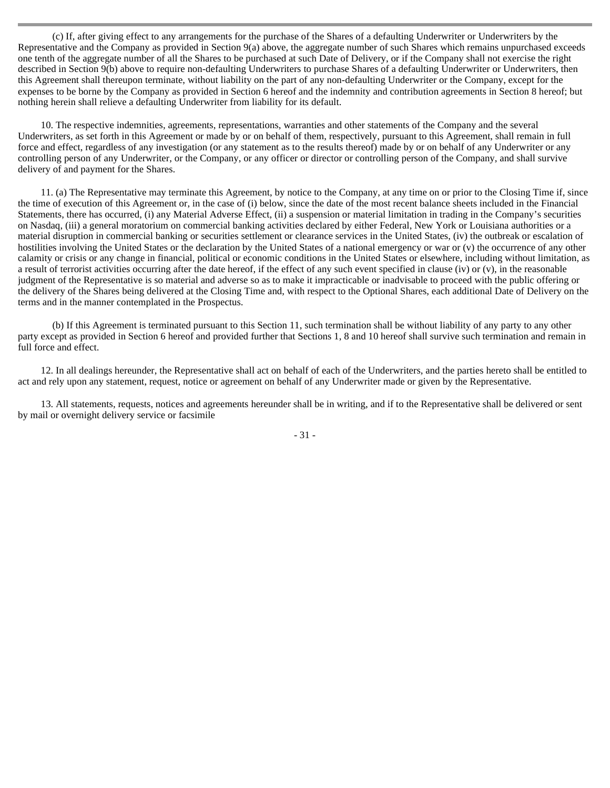(c) If, after giving effect to any arrangements for the purchase of the Shares of a defaulting Underwriter or Underwriters by the Representative and the Company as provided in Section 9(a) above, the aggregate number of such Shares which remains unpurchased exceeds one tenth of the aggregate number of all the Shares to be purchased at such Date of Delivery, or if the Company shall not exercise the right described in Section 9(b) above to require non-defaulting Underwriters to purchase Shares of a defaulting Underwriter or Underwriters, then this Agreement shall thereupon terminate, without liability on the part of any non-defaulting Underwriter or the Company, except for the expenses to be borne by the Company as provided in Section 6 hereof and the indemnity and contribution agreements in Section 8 hereof; but nothing herein shall relieve a defaulting Underwriter from liability for its default.

10. The respective indemnities, agreements, representations, warranties and other statements of the Company and the several Underwriters, as set forth in this Agreement or made by or on behalf of them, respectively, pursuant to this Agreement, shall remain in full force and effect, regardless of any investigation (or any statement as to the results thereof) made by or on behalf of any Underwriter or any controlling person of any Underwriter, or the Company, or any officer or director or controlling person of the Company, and shall survive delivery of and payment for the Shares.

11. (a) The Representative may terminate this Agreement, by notice to the Company, at any time on or prior to the Closing Time if, since the time of execution of this Agreement or, in the case of (i) below, since the date of the most recent balance sheets included in the Financial Statements, there has occurred, (i) any Material Adverse Effect, (ii) a suspension or material limitation in trading in the Company's securities on Nasdaq, (iii) a general moratorium on commercial banking activities declared by either Federal, New York or Louisiana authorities or a material disruption in commercial banking or securities settlement or clearance services in the United States, (iv) the outbreak or escalation of hostilities involving the United States or the declaration by the United States of a national emergency or war or (v) the occurrence of any other calamity or crisis or any change in financial, political or economic conditions in the United States or elsewhere, including without limitation, as a result of terrorist activities occurring after the date hereof, if the effect of any such event specified in clause (iv) or  $(v)$ , in the reasonable judgment of the Representative is so material and adverse so as to make it impracticable or inadvisable to proceed with the public offering or the delivery of the Shares being delivered at the Closing Time and, with respect to the Optional Shares, each additional Date of Delivery on the terms and in the manner contemplated in the Prospectus.

(b) If this Agreement is terminated pursuant to this Section 11, such termination shall be without liability of any party to any other party except as provided in Section 6 hereof and provided further that Sections 1, 8 and 10 hereof shall survive such termination and remain in full force and effect.

12. In all dealings hereunder, the Representative shall act on behalf of each of the Underwriters, and the parties hereto shall be entitled to act and rely upon any statement, request, notice or agreement on behalf of any Underwriter made or given by the Representative.

13. All statements, requests, notices and agreements hereunder shall be in writing, and if to the Representative shall be delivered or sent by mail or overnight delivery service or facsimile

- 31 -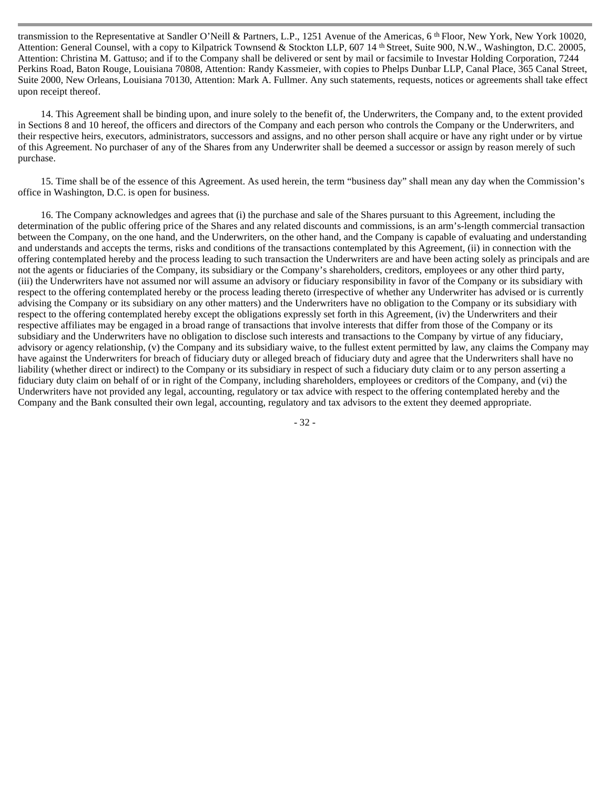transmission to the Representative at Sandler O'Neill & Partners, L.P., 1251 Avenue of the Americas, 6 th Floor, New York, New York 10020, Attention: General Counsel, with a copy to Kilpatrick Townsend & Stockton LLP, 607 14 th Street, Suite 900, N.W., Washington, D.C. 20005, Attention: Christina M. Gattuso; and if to the Company shall be delivered or sent by mail or facsimile to Investar Holding Corporation, 7244 Perkins Road, Baton Rouge, Louisiana 70808, Attention: Randy Kassmeier, with copies to Phelps Dunbar LLP, Canal Place, 365 Canal Street, Suite 2000, New Orleans, Louisiana 70130, Attention: Mark A. Fullmer. Any such statements, requests, notices or agreements shall take effect upon receipt thereof.

14. This Agreement shall be binding upon, and inure solely to the benefit of, the Underwriters, the Company and, to the extent provided in Sections 8 and 10 hereof, the officers and directors of the Company and each person who controls the Company or the Underwriters, and their respective heirs, executors, administrators, successors and assigns, and no other person shall acquire or have any right under or by virtue of this Agreement. No purchaser of any of the Shares from any Underwriter shall be deemed a successor or assign by reason merely of such purchase.

15. Time shall be of the essence of this Agreement. As used herein, the term "business day" shall mean any day when the Commission's office in Washington, D.C. is open for business.

16. The Company acknowledges and agrees that (i) the purchase and sale of the Shares pursuant to this Agreement, including the determination of the public offering price of the Shares and any related discounts and commissions, is an arm's-length commercial transaction between the Company, on the one hand, and the Underwriters, on the other hand, and the Company is capable of evaluating and understanding and understands and accepts the terms, risks and conditions of the transactions contemplated by this Agreement, (ii) in connection with the offering contemplated hereby and the process leading to such transaction the Underwriters are and have been acting solely as principals and are not the agents or fiduciaries of the Company, its subsidiary or the Company's shareholders, creditors, employees or any other third party, (iii) the Underwriters have not assumed nor will assume an advisory or fiduciary responsibility in favor of the Company or its subsidiary with respect to the offering contemplated hereby or the process leading thereto (irrespective of whether any Underwriter has advised or is currently advising the Company or its subsidiary on any other matters) and the Underwriters have no obligation to the Company or its subsidiary with respect to the offering contemplated hereby except the obligations expressly set forth in this Agreement, (iv) the Underwriters and their respective affiliates may be engaged in a broad range of transactions that involve interests that differ from those of the Company or its subsidiary and the Underwriters have no obligation to disclose such interests and transactions to the Company by virtue of any fiduciary, advisory or agency relationship, (v) the Company and its subsidiary waive, to the fullest extent permitted by law, any claims the Company may have against the Underwriters for breach of fiduciary duty or alleged breach of fiduciary duty and agree that the Underwriters shall have no liability (whether direct or indirect) to the Company or its subsidiary in respect of such a fiduciary duty claim or to any person asserting a fiduciary duty claim on behalf of or in right of the Company, including shareholders, employees or creditors of the Company, and (vi) the Underwriters have not provided any legal, accounting, regulatory or tax advice with respect to the offering contemplated hereby and the Company and the Bank consulted their own legal, accounting, regulatory and tax advisors to the extent they deemed appropriate.

- 32 -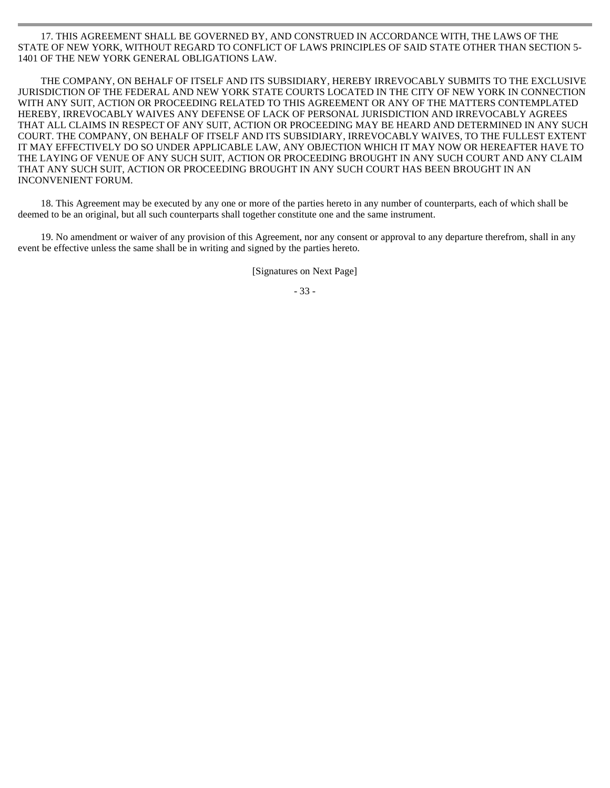17. THIS AGREEMENT SHALL BE GOVERNED BY, AND CONSTRUED IN ACCORDANCE WITH, THE LAWS OF THE STATE OF NEW YORK, WITHOUT REGARD TO CONFLICT OF LAWS PRINCIPLES OF SAID STATE OTHER THAN SECTION 5- 1401 OF THE NEW YORK GENERAL OBLIGATIONS LAW.

THE COMPANY, ON BEHALF OF ITSELF AND ITS SUBSIDIARY, HEREBY IRREVOCABLY SUBMITS TO THE EXCLUSIVE JURISDICTION OF THE FEDERAL AND NEW YORK STATE COURTS LOCATED IN THE CITY OF NEW YORK IN CONNECTION WITH ANY SUIT, ACTION OR PROCEEDING RELATED TO THIS AGREEMENT OR ANY OF THE MATTERS CONTEMPLATED HEREBY, IRREVOCABLY WAIVES ANY DEFENSE OF LACK OF PERSONAL JURISDICTION AND IRREVOCABLY AGREES THAT ALL CLAIMS IN RESPECT OF ANY SUIT, ACTION OR PROCEEDING MAY BE HEARD AND DETERMINED IN ANY SUCH COURT. THE COMPANY, ON BEHALF OF ITSELF AND ITS SUBSIDIARY, IRREVOCABLY WAIVES, TO THE FULLEST EXTENT IT MAY EFFECTIVELY DO SO UNDER APPLICABLE LAW, ANY OBJECTION WHICH IT MAY NOW OR HEREAFTER HAVE TO THE LAYING OF VENUE OF ANY SUCH SUIT, ACTION OR PROCEEDING BROUGHT IN ANY SUCH COURT AND ANY CLAIM THAT ANY SUCH SUIT, ACTION OR PROCEEDING BROUGHT IN ANY SUCH COURT HAS BEEN BROUGHT IN AN INCONVENIENT FORUM.

18. This Agreement may be executed by any one or more of the parties hereto in any number of counterparts, each of which shall be deemed to be an original, but all such counterparts shall together constitute one and the same instrument.

19. No amendment or waiver of any provision of this Agreement, nor any consent or approval to any departure therefrom, shall in any event be effective unless the same shall be in writing and signed by the parties hereto.

[Signatures on Next Page]

- 33 -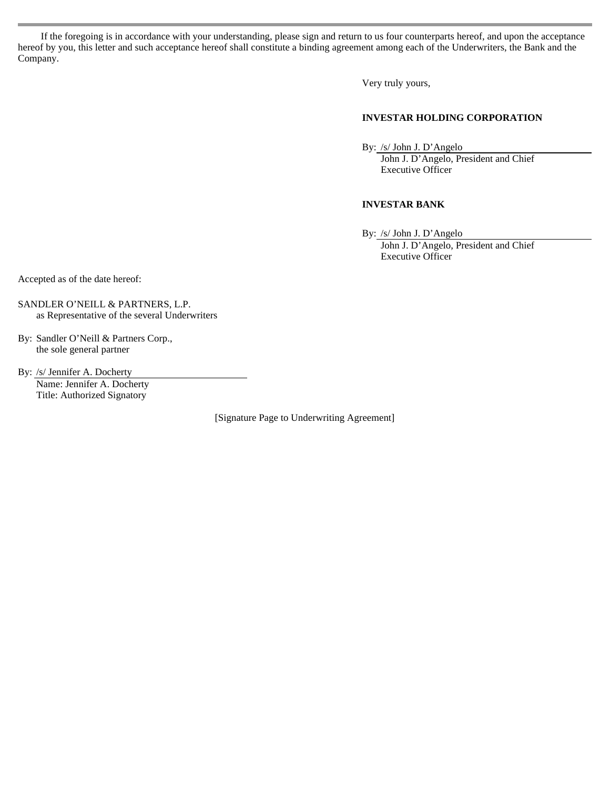If the foregoing is in accordance with your understanding, please sign and return to us four counterparts hereof, and upon the acceptance hereof by you, this letter and such acceptance hereof shall constitute a binding agreement among each of the Underwriters, the Bank and the Company.

Very truly yours,

#### **INVESTAR HOLDING CORPORATION**

By: /s/ John J. D'Angelo

John J. D'Angelo, President and Chief Executive Officer

#### **INVESTAR BANK**

By: /s/ John J. D'Angelo John J. D'Angelo, President and Chief Executive Officer

Accepted as of the date hereof:

SANDLER O'NEILL & PARTNERS, L.P. as Representative of the several Underwriters

By: Sandler O'Neill & Partners Corp., the sole general partner

By: /s/ Jennifer A. Docherty Name: Jennifer A. Docherty Title: Authorized Signatory

[Signature Page to Underwriting Agreement]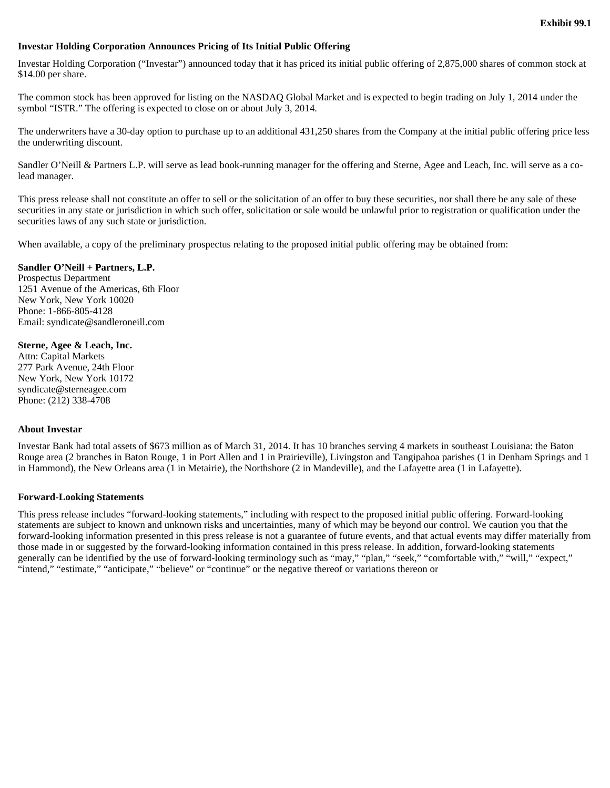#### **Investar Holding Corporation Announces Pricing of Its Initial Public Offering**

Investar Holding Corporation ("Investar") announced today that it has priced its initial public offering of 2,875,000 shares of common stock at \$14.00 per share.

The common stock has been approved for listing on the NASDAQ Global Market and is expected to begin trading on July 1, 2014 under the symbol "ISTR." The offering is expected to close on or about July 3, 2014.

The underwriters have a 30-day option to purchase up to an additional 431,250 shares from the Company at the initial public offering price less the underwriting discount.

Sandler O'Neill & Partners L.P. will serve as lead book-running manager for the offering and Sterne, Agee and Leach, Inc. will serve as a colead manager.

This press release shall not constitute an offer to sell or the solicitation of an offer to buy these securities, nor shall there be any sale of these securities in any state or jurisdiction in which such offer, solicitation or sale would be unlawful prior to registration or qualification under the securities laws of any such state or jurisdiction.

When available, a copy of the preliminary prospectus relating to the proposed initial public offering may be obtained from:

#### **Sandler O'Neill + Partners, L.P.**

Prospectus Department 1251 Avenue of the Americas, 6th Floor New York, New York 10020 Phone: 1-866-805-4128 Email: syndicate@sandleroneill.com

#### **Sterne, Agee & Leach, Inc.**

Attn: Capital Markets 277 Park Avenue, 24th Floor New York, New York 10172 syndicate@sterneagee.com Phone: (212) 338-4708

#### **About Investar**

Investar Bank had total assets of \$673 million as of March 31, 2014. It has 10 branches serving 4 markets in southeast Louisiana: the Baton Rouge area (2 branches in Baton Rouge, 1 in Port Allen and 1 in Prairieville), Livingston and Tangipahoa parishes (1 in Denham Springs and 1 in Hammond), the New Orleans area (1 in Metairie), the Northshore (2 in Mandeville), and the Lafayette area (1 in Lafayette).

#### **Forward-Looking Statements**

This press release includes "forward-looking statements," including with respect to the proposed initial public offering. Forward-looking statements are subject to known and unknown risks and uncertainties, many of which may be beyond our control. We caution you that the forward-looking information presented in this press release is not a guarantee of future events, and that actual events may differ materially from those made in or suggested by the forward-looking information contained in this press release. In addition, forward-looking statements generally can be identified by the use of forward-looking terminology such as "may," "plan," "seek," "comfortable with," "will," "expect," "intend," "estimate," "anticipate," "believe" or "continue" or the negative thereof or variations thereon or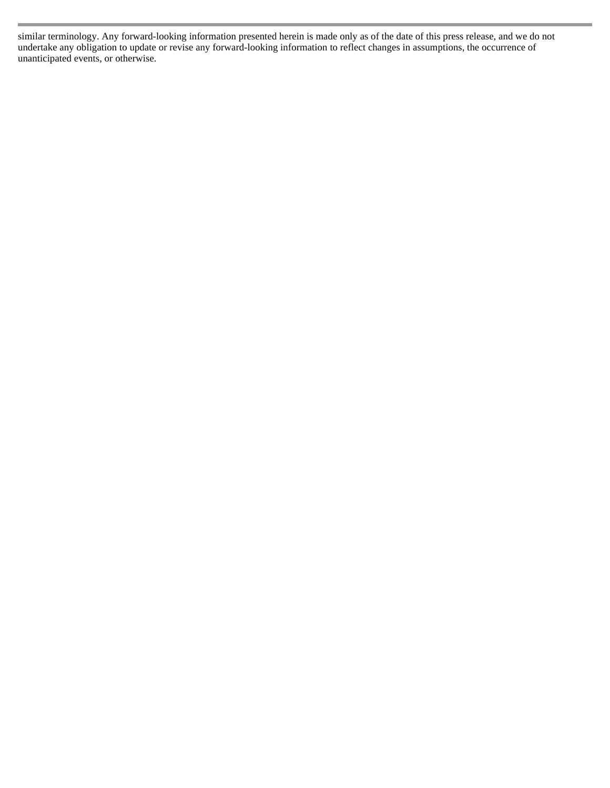similar terminology. Any forward-looking information presented herein is made only as of the date of this press release, and we do not undertake any obligation to update or revise any forward-looking information to reflect changes in assumptions, the occurrence of unanticipated events, or otherwise.